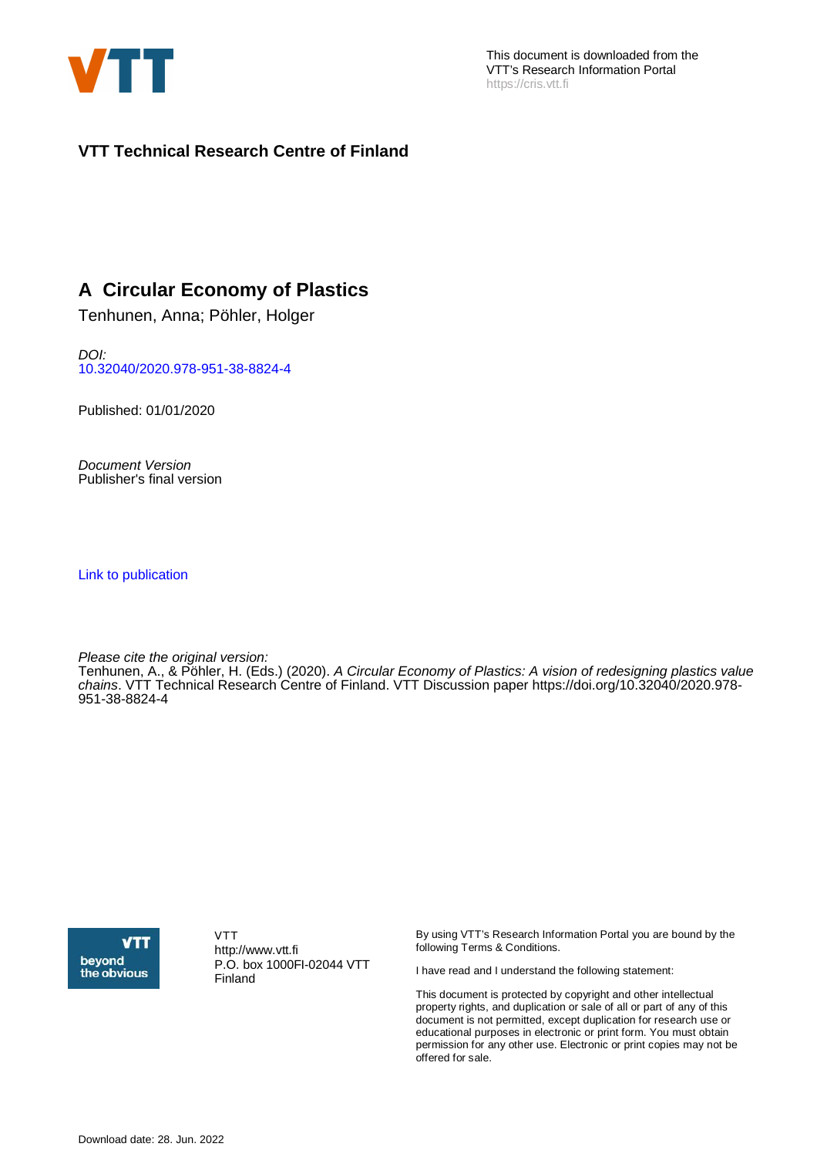

#### **VTT Technical Research Centre of Finland**

#### **A Circular Economy of Plastics**

Tenhunen, Anna; Pöhler, Holger

DOI: [10.32040/2020.978-951-38-8824-4](https://doi.org/10.32040/2020.978-951-38-8824-4)

Published: 01/01/2020

Document Version Publisher's final version

[Link to publication](https://cris.vtt.fi/en/publications/503f9edd-8865-4b29-a251-48cc4b0f79b2)

Please cite the original version: Tenhunen, A., & Pöhler, H. (Eds.) (2020). A Circular Economy of Plastics: A vision of redesigning plastics value chains. VTT Technical Research Centre of Finland. VTT Discussion paper [https://doi.org/10.32040/2020.978-](https://doi.org/10.32040/2020.978-951-38-8824-4) [951-38-8824-4](https://doi.org/10.32040/2020.978-951-38-8824-4)



VTT http://www.vtt.fi P.O. box 1000FI-02044 VTT Finland

By using VTT's Research Information Portal you are bound by the following Terms & Conditions.

I have read and I understand the following statement:

This document is protected by copyright and other intellectual property rights, and duplication or sale of all or part of any of this document is not permitted, except duplication for research use or educational purposes in electronic or print form. You must obtain permission for any other use. Electronic or print copies may not be offered for sale.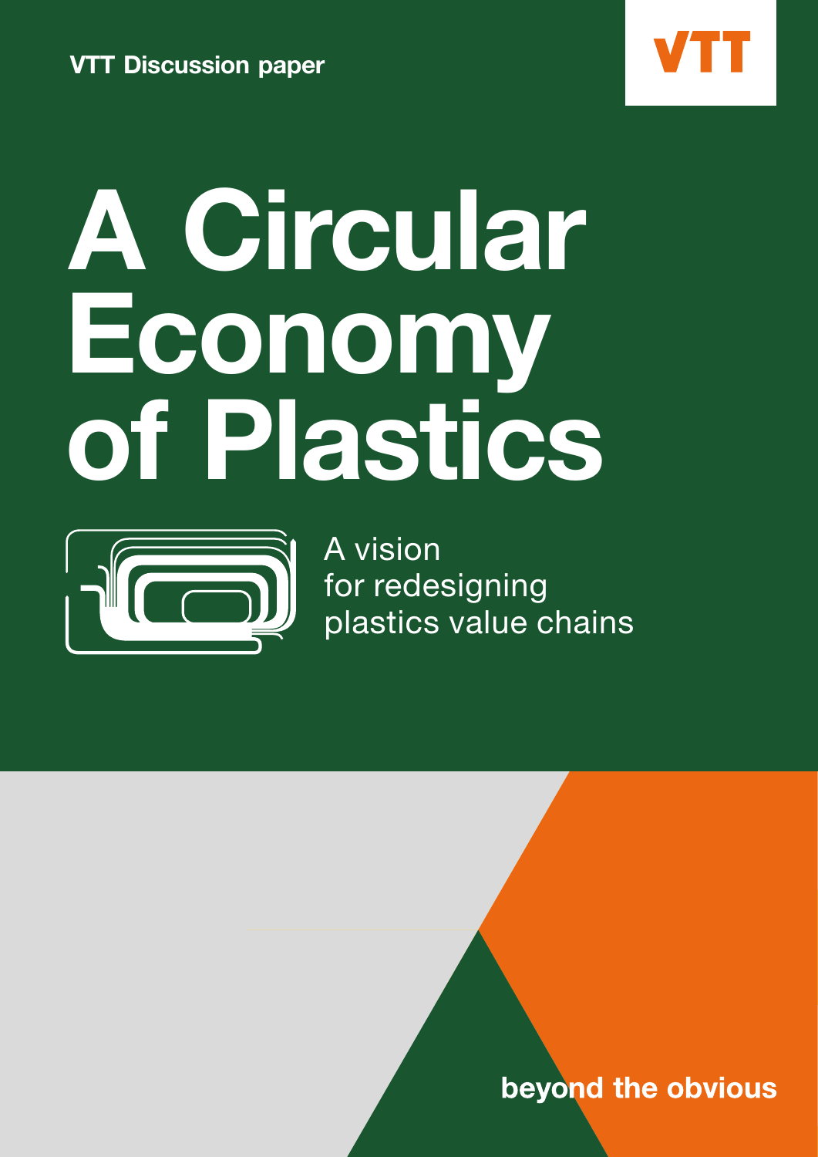



## A Circular Economy of Plastics



A vision for redesigning plastics value chains

beyond the obvious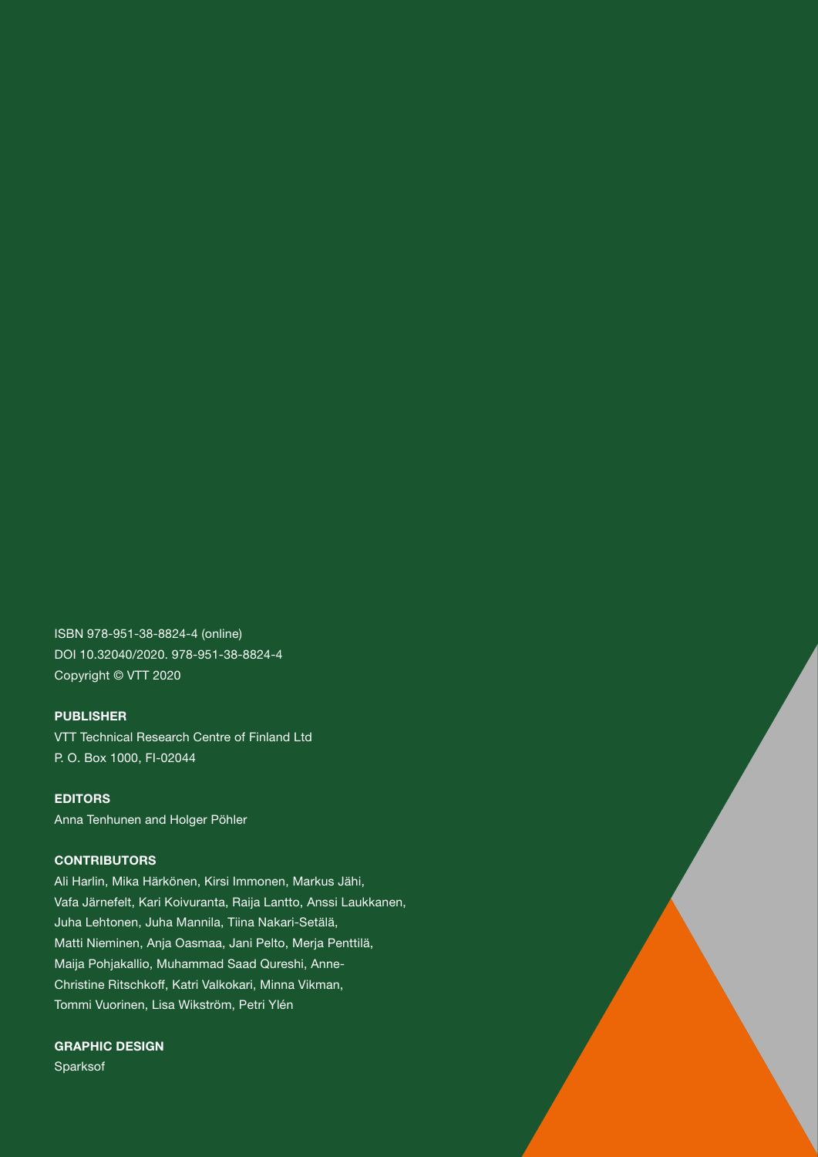ISBN 978-951-38-8824-4 (online) DOI 10.32040/2020. 978-951-38-8824-4 Copyright © VTT 2020

#### PUBLISHER

VTT Technical Research Centre of Finland Ltd P. O. Box 1000, FI-02044

EDITORS Anna Tenhunen and Holger Pöhler

#### **CONTRIBUTORS**

Ali Harlin, Mika Härkönen, Kirsi Immonen, Markus Jähi, Vafa Järnefelt, Kari Koivuranta, Raija Lantto, Anssi Laukkanen, Juha Lehtonen, Juha Mannila, Tiina Nakari-Setälä, Matti Nieminen, Anja Oasmaa, Jani Pelto, Merja Penttilä, Maija Pohjakallio, Muhammad Saad Qureshi, Anne-Christine Ritschkoff, Katri Valkokari, Minna Vikman, Tommi Vuorinen, Lisa Wikström, Petri Ylén

GRAPHIC DESIGN Sparksof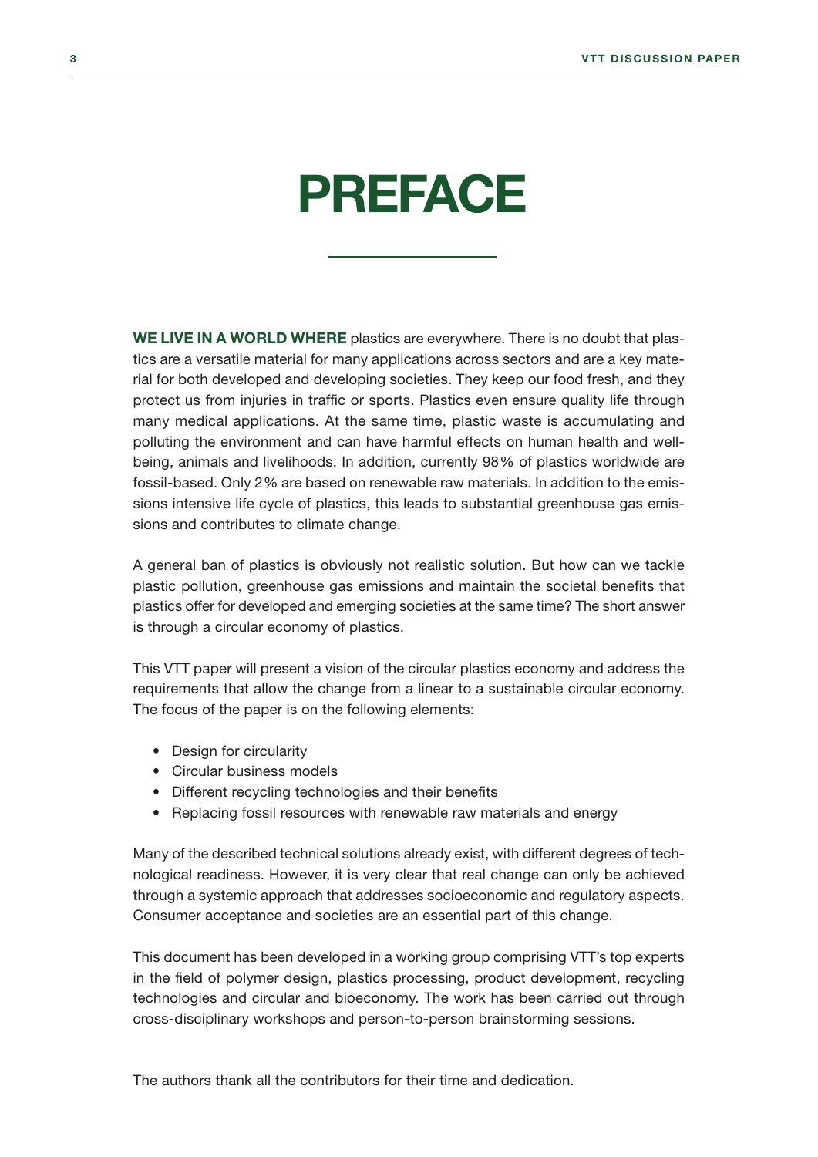## <span id="page-3-0"></span>PREFACE

WE LIVE IN A WORLD WHERE plastics are everywhere. There is no doubt that plastics are a versatile material for many applications across sectors and are a key material for both developed and developing societies. They keep our food fresh, and they protect us from injuries in traffic or sports. Plastics even ensure quality life through many medical applications. At the same time, plastic waste is accumulating and polluting the environment and can have harmful effects on human health and wellbeing, animals and livelihoods. In addition, currently 98% of plastics worldwide are fossil-based. Only 2% are based on renewable raw materials. In addition to the emissions intensive life cycle of plastics, this leads to substantial greenhouse gas emissions and contributes to climate change.

A general ban of plastics is obviously not realistic solution. But how can we tackle plastic pollution, greenhouse gas emissions and maintain the societal benefits that plastics offer for developed and emerging societies at the same time? The short answer is through a circular economy of plastics.

This VTT paper will present a vision of the circular plastics economy and address the requirements that allow the change from a linear to a sustainable circular economy. The focus of the paper is on the following elements:

- Design for circularity
- Circular business models
- Different recycling technologies and their benefits
- Replacing fossil resources with renewable raw materials and energy

Many of the described technical solutions already exist, with different degrees of technological readiness. However, it is very clear that real change can only be achieved through a systemic approach that addresses socioeconomic and regulatory aspects. Consumer acceptance and societies are an essential part of this change.

This document has been developed in a working group comprising VTT's top experts in the field of polymer design, plastics processing, product development, recycling technologies and circular and bioeconomy. The work has been carried out through cross-disciplinary workshops and person-to-person brainstorming sessions.

The authors thank all the contributors for their time and dedication.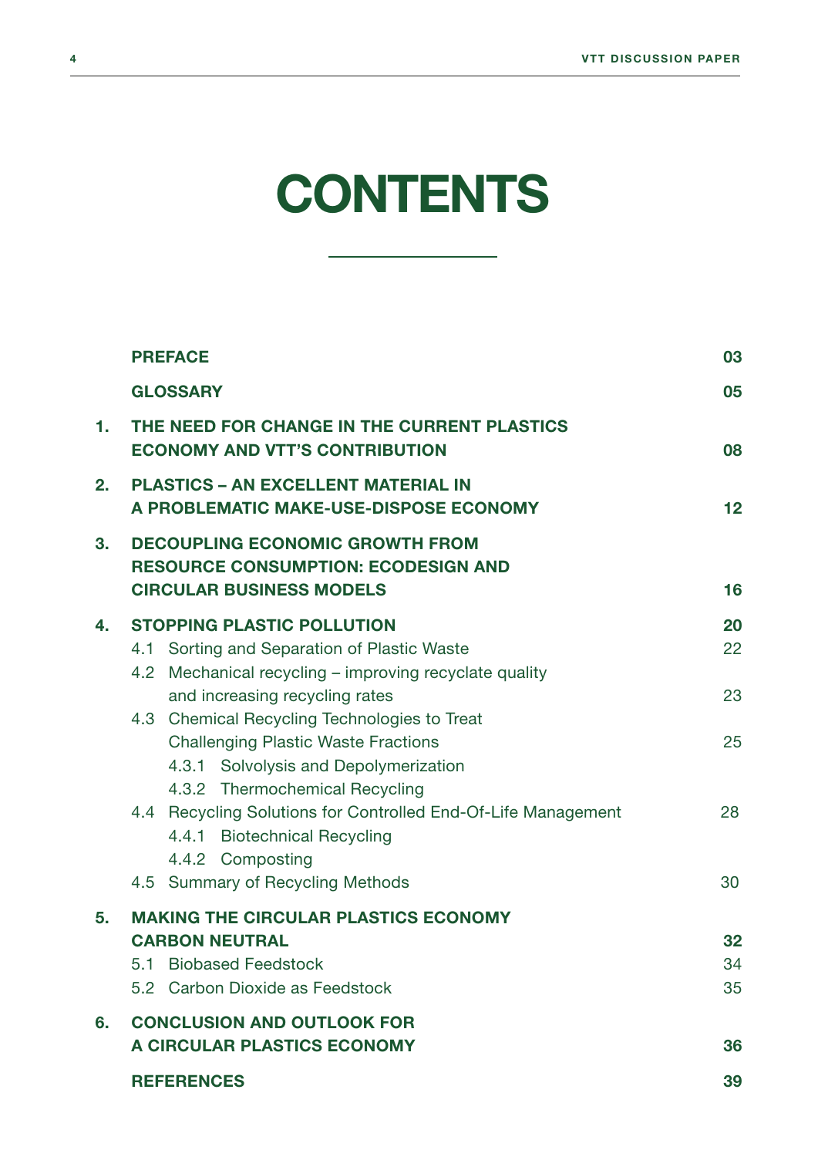## **CONTENTS**

|                | <b>PREFACE</b>                                                                                                          | 03 |
|----------------|-------------------------------------------------------------------------------------------------------------------------|----|
|                | <b>GLOSSARY</b>                                                                                                         | 05 |
| 1.             | THE NEED FOR CHANGE IN THE CURRENT PLASTICS<br><b>ECONOMY AND VTT'S CONTRIBUTION</b>                                    | 08 |
| 2.             | <b>PLASTICS - AN EXCELLENT MATERIAL IN</b><br>A PROBLEMATIC MAKE-USE-DISPOSE ECONOMY                                    | 12 |
| 3 <sub>1</sub> | <b>DECOUPLING ECONOMIC GROWTH FROM</b><br><b>RESOURCE CONSUMPTION: ECODESIGN AND</b><br><b>CIRCULAR BUSINESS MODELS</b> | 16 |
| 4.             | <b>STOPPING PLASTIC POLLUTION</b>                                                                                       | 20 |
|                | 4.1 Sorting and Separation of Plastic Waste                                                                             | 22 |
|                | 4.2 Mechanical recycling – improving recyclate quality                                                                  |    |
|                | and increasing recycling rates                                                                                          | 23 |
|                | 4.3 Chemical Recycling Technologies to Treat                                                                            |    |
|                | <b>Challenging Plastic Waste Fractions</b>                                                                              | 25 |
|                | 4.3.1 Solvolysis and Depolymerization<br>4.3.2 Thermochemical Recycling                                                 |    |
|                | 4.4 Recycling Solutions for Controlled End-Of-Life Management                                                           | 28 |
|                | 4.4.1 Biotechnical Recycling                                                                                            |    |
|                | 4.4.2 Composting                                                                                                        |    |
|                | 4.5 Summary of Recycling Methods                                                                                        | 30 |
| 5.             | <b>MAKING THE CIRCULAR PLASTICS ECONOMY</b>                                                                             |    |
|                | <b>CARBON NEUTRAL</b>                                                                                                   | 32 |
|                | <b>Biobased Feedstock</b><br>5.1                                                                                        | 34 |
|                | 5.2 Carbon Dioxide as Feedstock                                                                                         | 35 |
| 6.             | <b>CONCLUSION AND OUTLOOK FOR</b>                                                                                       |    |
|                | <b>A CIRCULAR PLASTICS ECONOMY</b>                                                                                      | 36 |
|                | <b>REFERENCES</b>                                                                                                       | 39 |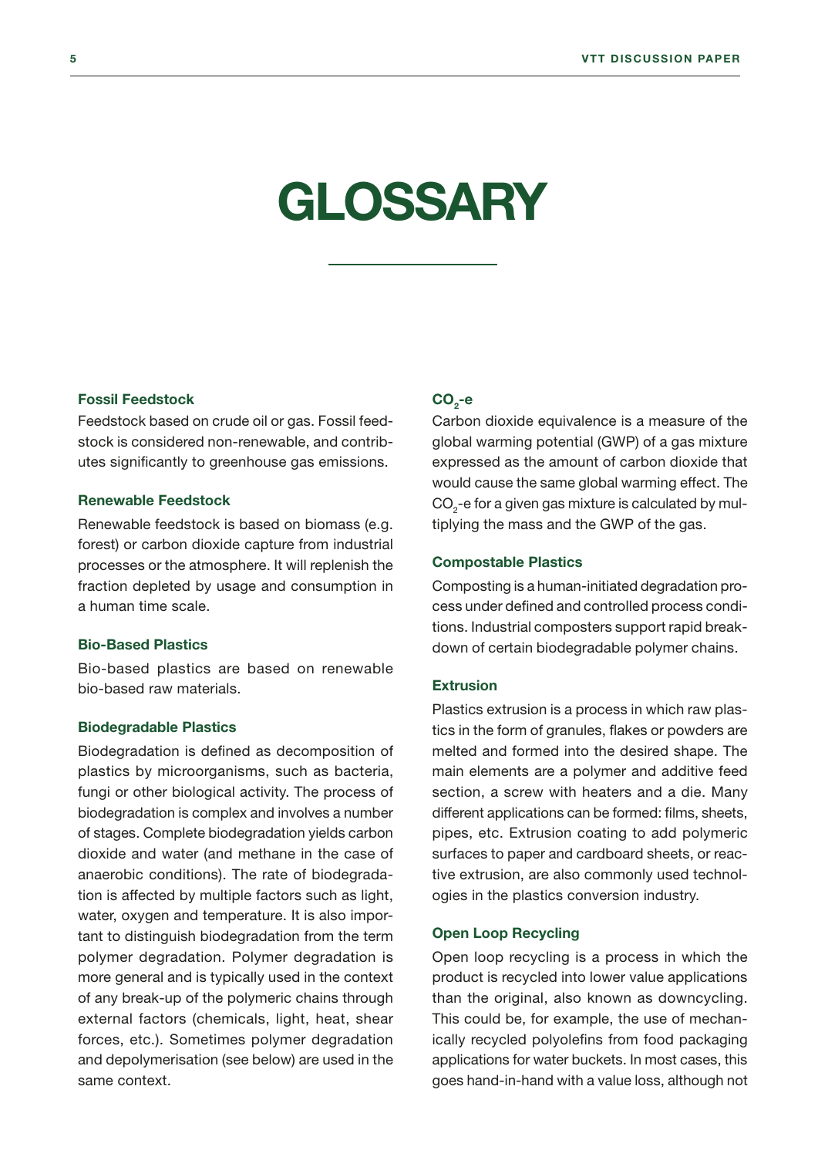## <span id="page-5-0"></span>GLOSSARY

#### Fossil Feedstock

Feedstock based on crude oil or gas. Fossil feedstock is considered non-renewable, and contributes significantly to greenhouse gas emissions.

#### Renewable Feedstock

Renewable feedstock is based on biomass (e.g. forest) or carbon dioxide capture from industrial processes or the atmosphere. It will replenish the fraction depleted by usage and consumption in a human time scale.

#### Bio-Based Plastics

Bio-based plastics are based on renewable bio-based raw materials.

#### Biodegradable Plastics

Biodegradation is defined as decomposition of plastics by microorganisms, such as bacteria, fungi or other biological activity. The process of biodegradation is complex and involves a number of stages. Complete biodegradation yields carbon dioxide and water (and methane in the case of anaerobic conditions). The rate of biodegradation is affected by multiple factors such as light, water, oxygen and temperature. It is also important to distinguish biodegradation from the term polymer degradation. Polymer degradation is more general and is typically used in the context of any break-up of the polymeric chains through external factors (chemicals, light, heat, shear forces, etc.). Sometimes polymer degradation and depolymerisation (see below) are used in the same context.

#### $CO<sub>2</sub>$ -e

Carbon dioxide equivalence is a measure of the global warming potential (GWP) of a gas mixture expressed as the amount of carbon dioxide that would cause the same global warming effect. The  $\mathrm{CO}_2$ -e for a given gas mixture is calculated by multiplying the mass and the GWP of the gas.

#### Compostable Plastics

Composting is a human-initiated degradation process under defined and controlled process conditions. Industrial composters support rapid breakdown of certain biodegradable polymer chains.

#### Extrusion

Plastics extrusion is a process in which raw plastics in the form of granules, flakes or powders are melted and formed into the desired shape. The main elements are a polymer and additive feed section, a screw with heaters and a die. Many different applications can be formed: films, sheets, pipes, etc. Extrusion coating to add polymeric surfaces to paper and cardboard sheets, or reactive extrusion, are also commonly used technologies in the plastics conversion industry.

#### Open Loop Recycling

Open loop recycling is a process in which the product is recycled into lower value applications than the original, also known as downcycling. This could be, for example, the use of mechanically recycled polyolefins from food packaging applications for water buckets. In most cases, this goes hand-in-hand with a value loss, although not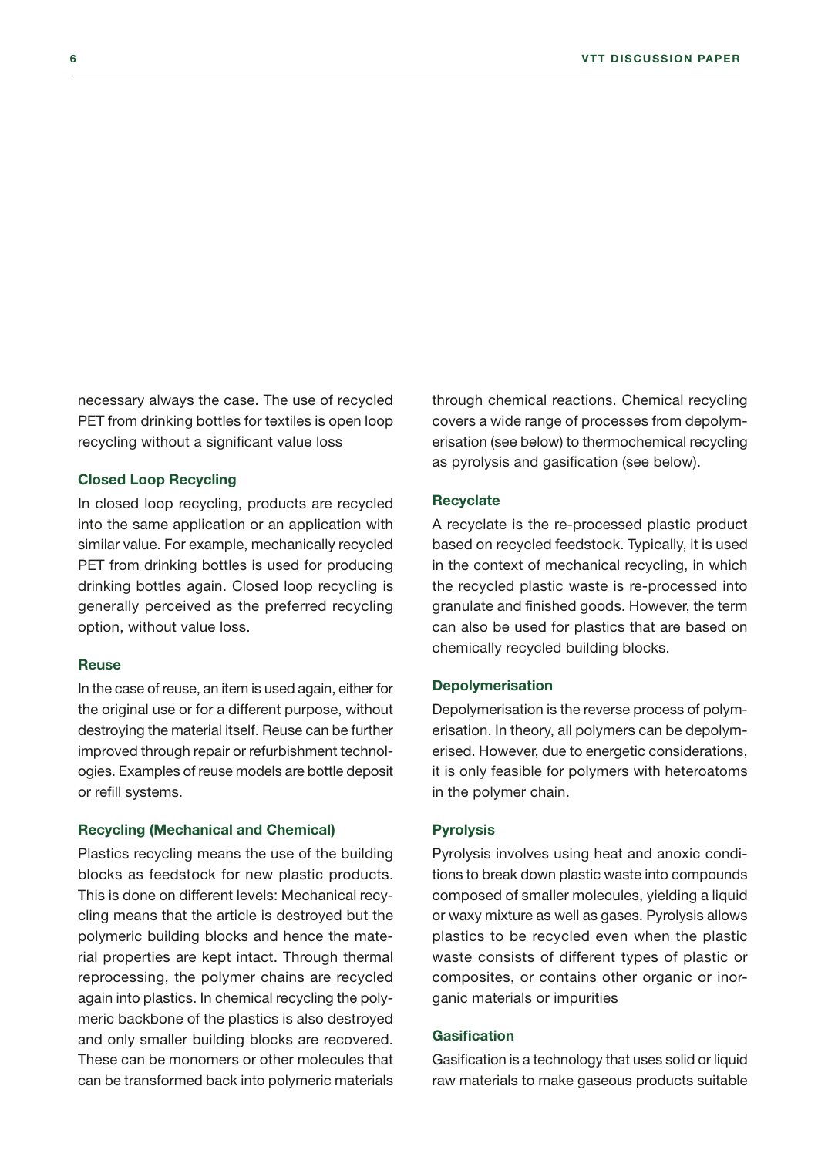necessary always the case. The use of recycled PET from drinking bottles for textiles is open loop recycling without a significant value loss

#### Closed Loop Recycling

In closed loop recycling, products are recycled into the same application or an application with similar value. For example, mechanically recycled PET from drinking bottles is used for producing drinking bottles again. Closed loop recycling is generally perceived as the preferred recycling option, without value loss.

#### Reuse

In the case of reuse, an item is used again, either for the original use or for a different purpose, without destroying the material itself. Reuse can be further improved through repair or refurbishment technologies. Examples of reuse models are bottle deposit or refill systems.

#### Recycling (Mechanical and Chemical)

Plastics recycling means the use of the building blocks as feedstock for new plastic products. This is done on different levels: Mechanical recycling means that the article is destroyed but the polymeric building blocks and hence the material properties are kept intact. Through thermal reprocessing, the polymer chains are recycled again into plastics. In chemical recycling the polymeric backbone of the plastics is also destroyed and only smaller building blocks are recovered. These can be monomers or other molecules that can be transformed back into polymeric materials

through chemical reactions. Chemical recycling covers a wide range of processes from depolymerisation (see below) to thermochemical recycling as pyrolysis and gasification (see below).

#### **Recyclate**

A recyclate is the re-processed plastic product based on recycled feedstock. Typically, it is used in the context of mechanical recycling, in which the recycled plastic waste is re-processed into granulate and finished goods. However, the term can also be used for plastics that are based on chemically recycled building blocks.

#### Depolymerisation

Depolymerisation is the reverse process of polymerisation. In theory, all polymers can be depolymerised. However, due to energetic considerations, it is only feasible for polymers with heteroatoms in the polymer chain.

#### Pyrolysis

Pyrolysis involves using heat and anoxic conditions to break down plastic waste into compounds composed of smaller molecules, yielding a liquid or waxy mixture as well as gases. Pyrolysis allows plastics to be recycled even when the plastic waste consists of different types of plastic or composites, or contains other organic or inorganic materials or impurities

#### **Gasification**

Gasification is a technology that uses solid or liquid raw materials to make gaseous products suitable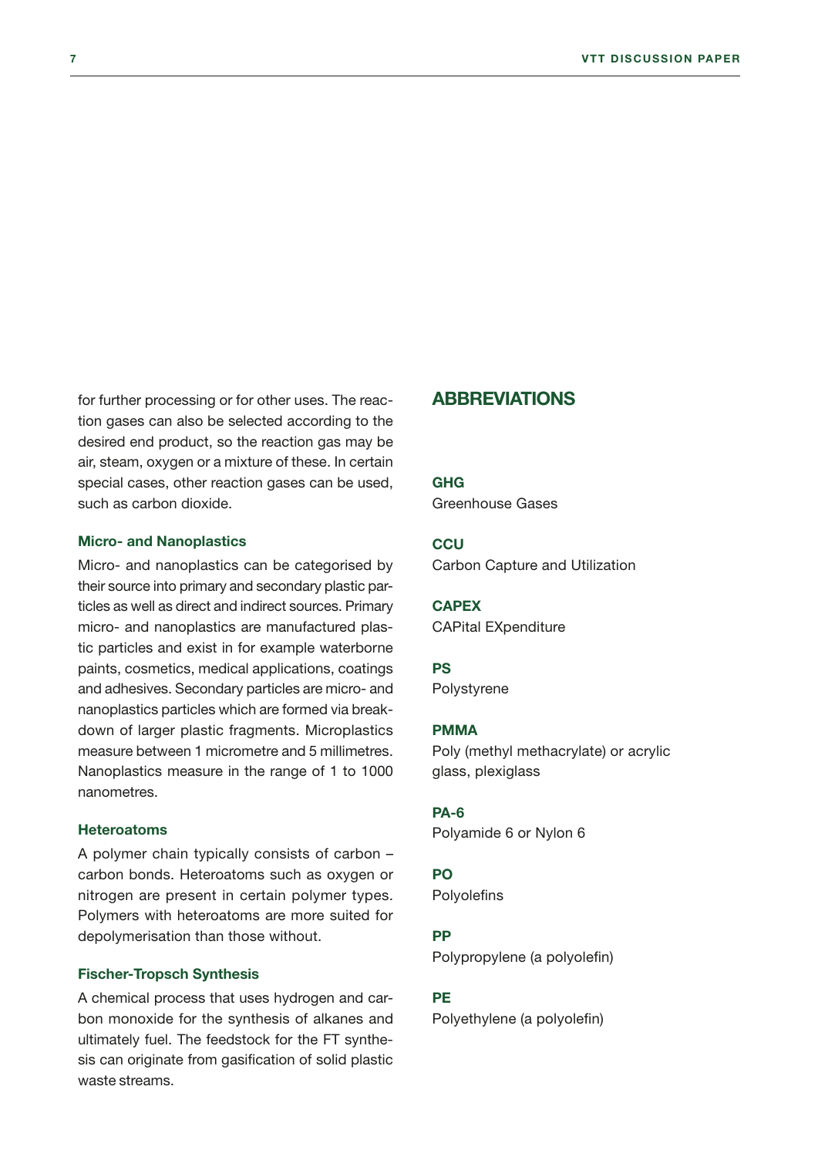for further processing or for other uses. The reaction gases can also be selected according to the desired end product, so the reaction gas may be air, steam, oxygen or a mixture of these. In certain special cases, other reaction gases can be used, such as carbon dioxide.

#### Micro- and Nanoplastics

Micro- and nanoplastics can be categorised by their source into primary and secondary plastic particles as well as direct and indirect sources. Primary micro- and nanoplastics are manufactured plastic particles and exist in for example waterborne paints, cosmetics, medical applications, coatings and adhesives. Secondary particles are micro- and nanoplastics particles which are formed via breakdown of larger plastic fragments. Microplastics measure between 1 micrometre and 5 millimetres. Nanoplastics measure in the range of 1 to 1000 nanometres.

#### **Heteroatoms**

A polymer chain typically consists of carbon – carbon bonds. Heteroatoms such as oxygen or nitrogen are present in certain polymer types. Polymers with heteroatoms are more suited for depolymerisation than those without.

#### Fischer-Tropsch Synthesis

A chemical process that uses hydrogen and carbon monoxide for the synthesis of alkanes and ultimately fuel. The feedstock for the FT synthesis can originate from gasification of solid plastic waste streams.

#### ABBREVIATIONS

GHG

Greenhouse Gases

#### **CCU** Carbon Capture and Utilization

**CAPEX** CAPital EXpenditure

#### PS

Polystyrene

#### PMMA

Poly (methyl methacrylate) or acrylic glass, plexiglass

#### PA-6

Polyamide 6 or Nylon 6

#### PO

**Polyolefins** 

#### PP

Polypropylene (a polyolefin)

#### **PE**

Polyethylene (a polyolefin)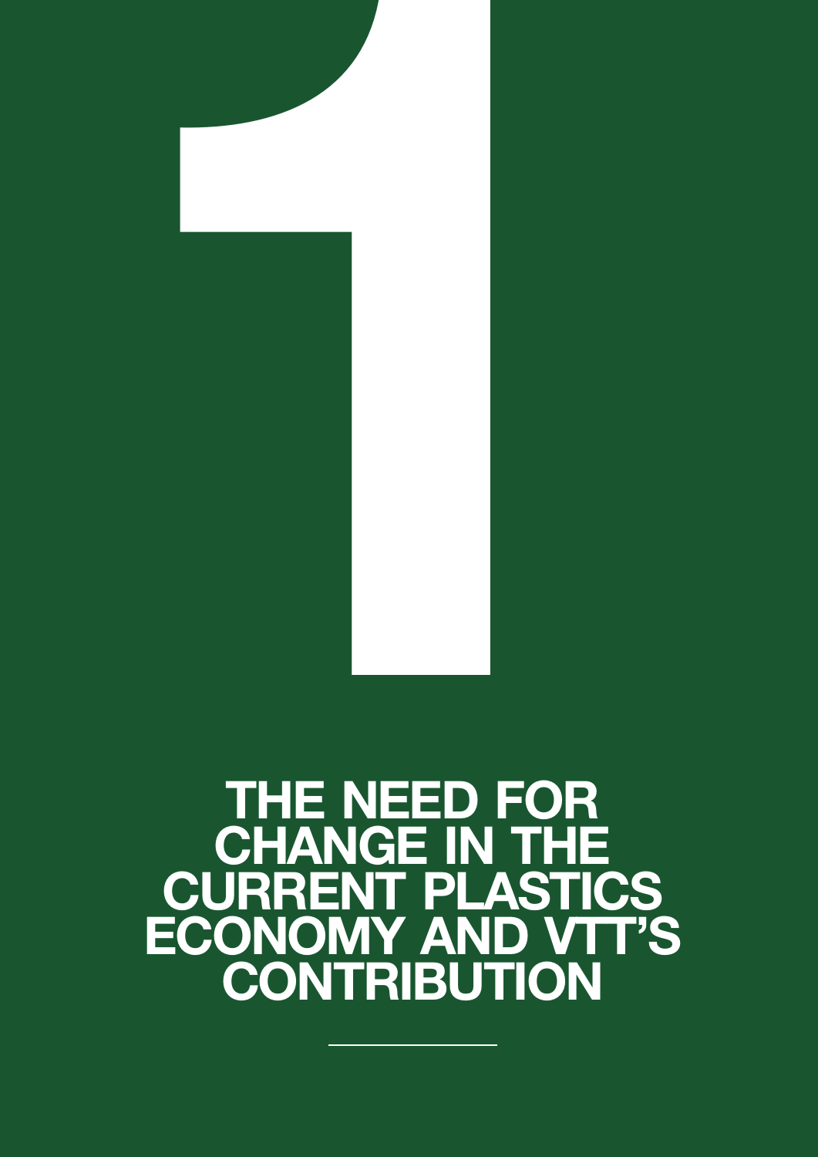# THE NEED FOR CHANGE IN THE CURRENT PLASTICS ECONOMY AND VTT'S **CONTRIBUTION** THE NEED FOR

<span id="page-8-0"></span>8 VTT DISCUSSION PAPER OF THE SECOND PAPER OF THE SECOND PAPER OF THE SECOND PAPER OF THE SECOND PAPER OF THE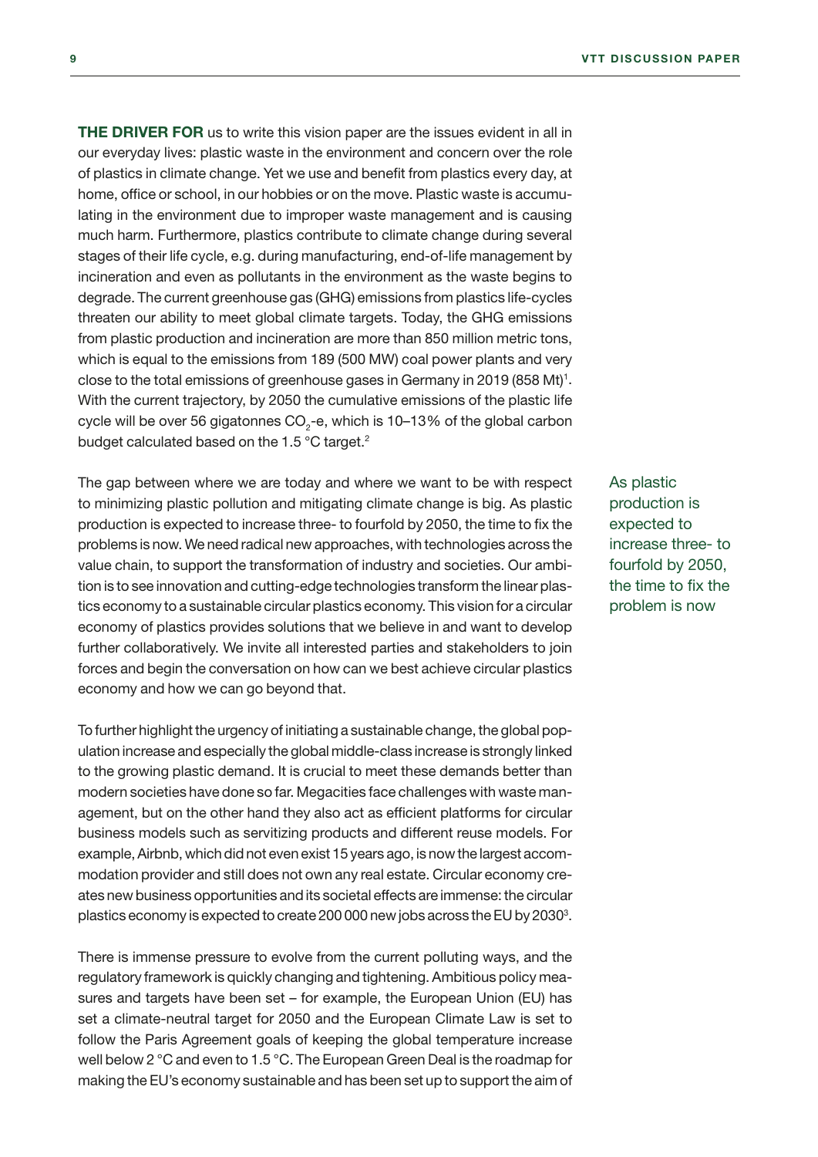THE DRIVER FOR us to write this vision paper are the issues evident in all in our everyday lives: plastic waste in the environment and concern over the role of plastics in climate change. Yet we use and benefit from plastics every day, at home, office or school, in our hobbies or on the move. Plastic waste is accumulating in the environment due to improper waste management and is causing much harm. Furthermore, plastics contribute to climate change during several stages of their life cycle, e.g. during manufacturing, end-of-life management by incineration and even as pollutants in the environment as the waste begins to degrade. The current greenhouse gas (GHG) emissions from plastics life-cycles threaten our ability to meet global climate targets. Today, the GHG emissions from plastic production and incineration are more than 850 million metric tons, which is equal to the emissions from 189 (500 MW) coal power plants and very close to the total emissions of greenhouse gases in Germany in 2019 (858 Mt)<sup>1</sup>. With the current trajectory, by 2050 the cumulative emissions of the plastic life cycle will be over 56 gigatonnes CO $_2$ -e, which is 10–13% of the global carbon budget calculated based on the 1.5 °C target.<sup>2</sup>

The gap between where we are today and where we want to be with respect to minimizing plastic pollution and mitigating climate change is big. As plastic production is expected to increase three- to fourfold by 2050, the time to fix the problems is now. We need radical new approaches, with technologies across the value chain, to support the transformation of industry and societies. Our ambition is to see innovation and cutting-edge technologies transform the linear plastics economy to a sustainable circular plastics economy. This vision for a circular economy of plastics provides solutions that we believe in and want to develop further collaboratively. We invite all interested parties and stakeholders to join forces and begin the conversation on how can we best achieve circular plastics economy and how we can go beyond that.

To further highlight the urgency of initiating a sustainable change, the global population increase and especially the global middle-class increase is strongly linked to the growing plastic demand. It is crucial to meet these demands better than modern societies have done so far. Megacities face challenges with waste management, but on the other hand they also act as efficient platforms for circular business models such as servitizing products and different reuse models. For example, Airbnb, which did not even exist 15 years ago, is now the largest accommodation provider and still does not own any real estate. Circular economy creates new business opportunities and its societal effects are immense: the circular plastics economy is expected to create 200 000 new jobs across the EU by 2030<sup>3</sup>.

There is immense pressure to evolve from the current polluting ways, and the regulatory framework is quickly changing and tightening. Ambitious policy measures and targets have been set – for example, the European Union (EU) has set a climate-neutral target for 2050 and the European Climate Law is set to follow the Paris Agreement goals of keeping the global temperature increase well below 2 °C and even to 1.5 °C. The European Green Deal is the roadmap for making the EU's economy sustainable and has been set up to support the aim of As plastic production is expected to increase three- to fourfold by 2050, the time to fix the problem is now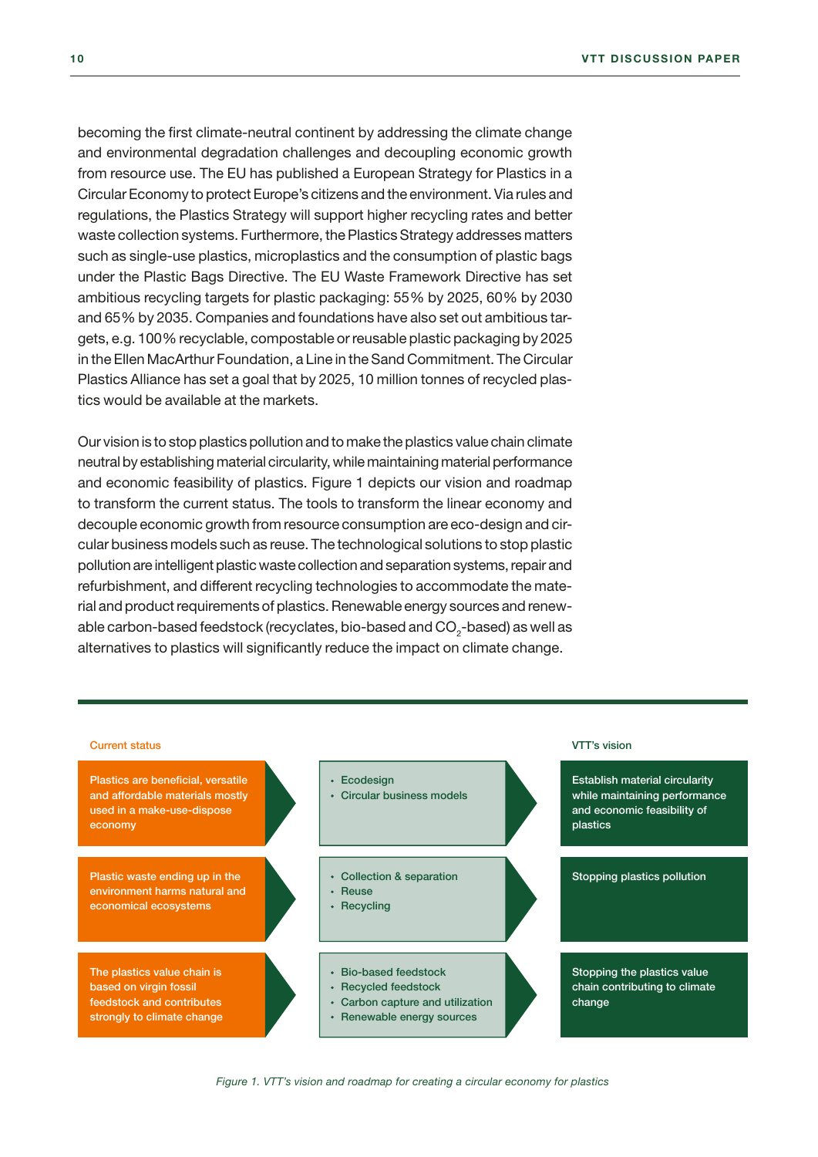becoming the first climate-neutral continent by addressing the climate change and environmental degradation challenges and decoupling economic growth from resource use. The EU has published a European Strategy for Plastics in a Circular Economy to protect Europe's citizens and the environment. Via rules and regulations, the Plastics Strategy will support higher recycling rates and better waste collection systems. Furthermore, the Plastics Strategy addresses matters such as single-use plastics, microplastics and the consumption of plastic bags under the Plastic Bags Directive. The EU Waste Framework Directive has set ambitious recycling targets for plastic packaging: 55% by 2025, 60% by 2030 and 65% by 2035. Companies and foundations have also set out ambitious targets, e.g. 100% recyclable, compostable or reusable plastic packaging by 2025 in the Ellen MacArthur Foundation, a Line in the Sand Commitment. The Circular Plastics Alliance has set a goal that by 2025, 10 million tonnes of recycled plastics would be available at the markets.

Our vision is to stop plastics pollution and to make the plastics value chain climate neutral by establishing material circularity, while maintaining material performance and economic feasibility of plastics. Figure 1 depicts our vision and roadmap to transform the current status. The tools to transform the linear economy and decouple economic growth from resource consumption are eco-design and circular business models such as reuse. The technological solutions to stop plastic pollution are intelligent plastic waste collection and separation systems, repair and refurbishment, and different recycling technologies to accommodate the material and product requirements of plastics. Renewable energy sources and renewable carbon-based feedstock (recyclates, bio-based and CO $_{\textrm{\tiny{2}}}$ -based) as well as alternatives to plastics will significantly reduce the impact on climate change.



*Figure 1. VTT's vision and roadmap for creating a circular economy for plastics*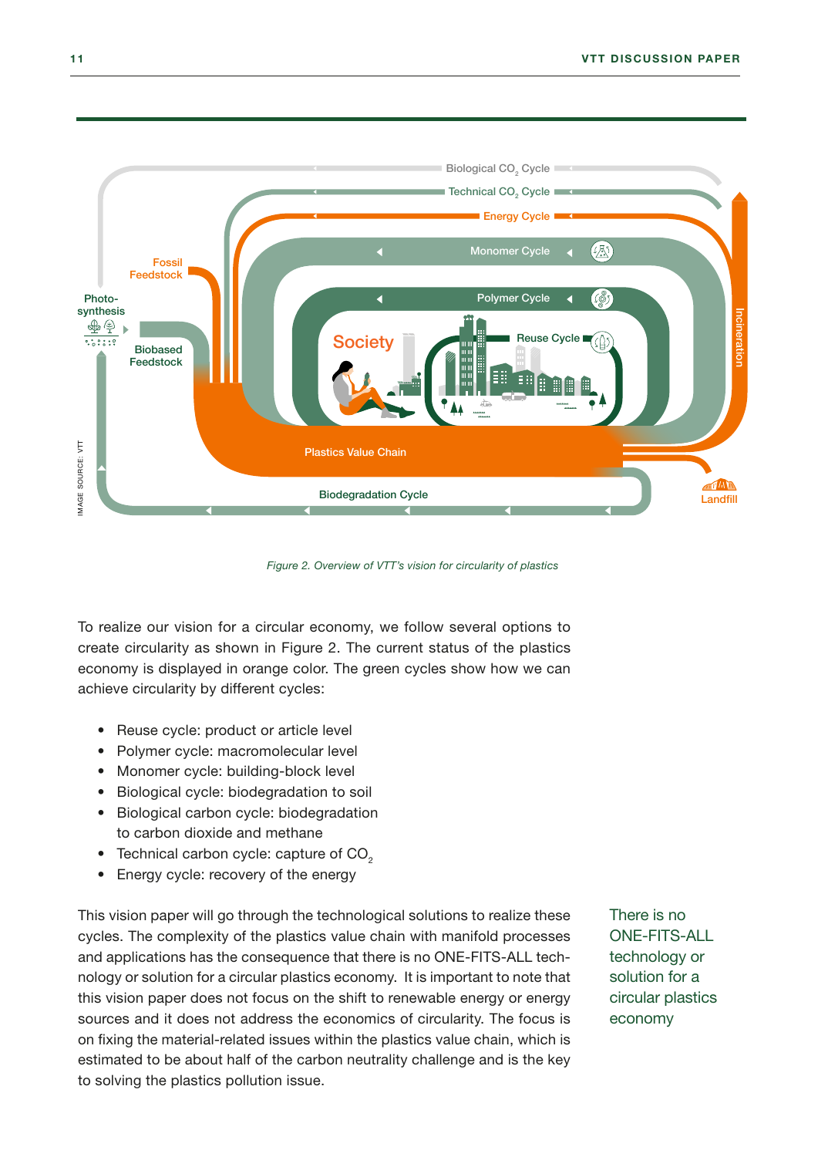

*Figure 2. Overview of VTT's vision for circularity of plastics*

To realize our vision for a circular economy, we follow several options to create circularity as shown in Figure 2. The current status of the plastics economy is displayed in orange color. The green cycles show how we can achieve circularity by different cycles:

- Reuse cycle: product or article level
- Polymer cycle: macromolecular level
- Monomer cycle: building-block level
- Biological cycle: biodegradation to soil
- Biological carbon cycle: biodegradation to carbon dioxide and methane
- Technical carbon cycle: capture of  $CO<sub>2</sub>$
- Energy cycle: recovery of the energy

This vision paper will go through the technological solutions to realize these cycles. The complexity of the plastics value chain with manifold processes and applications has the consequence that there is no ONE-FITS-ALL technology or solution for a circular plastics economy. It is important to note that this vision paper does not focus on the shift to renewable energy or energy sources and it does not address the economics of circularity. The focus is on fixing the material-related issues within the plastics value chain, which is estimated to be about half of the carbon neutrality challenge and is the key to solving the plastics pollution issue.

There is no ONE-FITS-ALL technology or solution for a circular plastics economy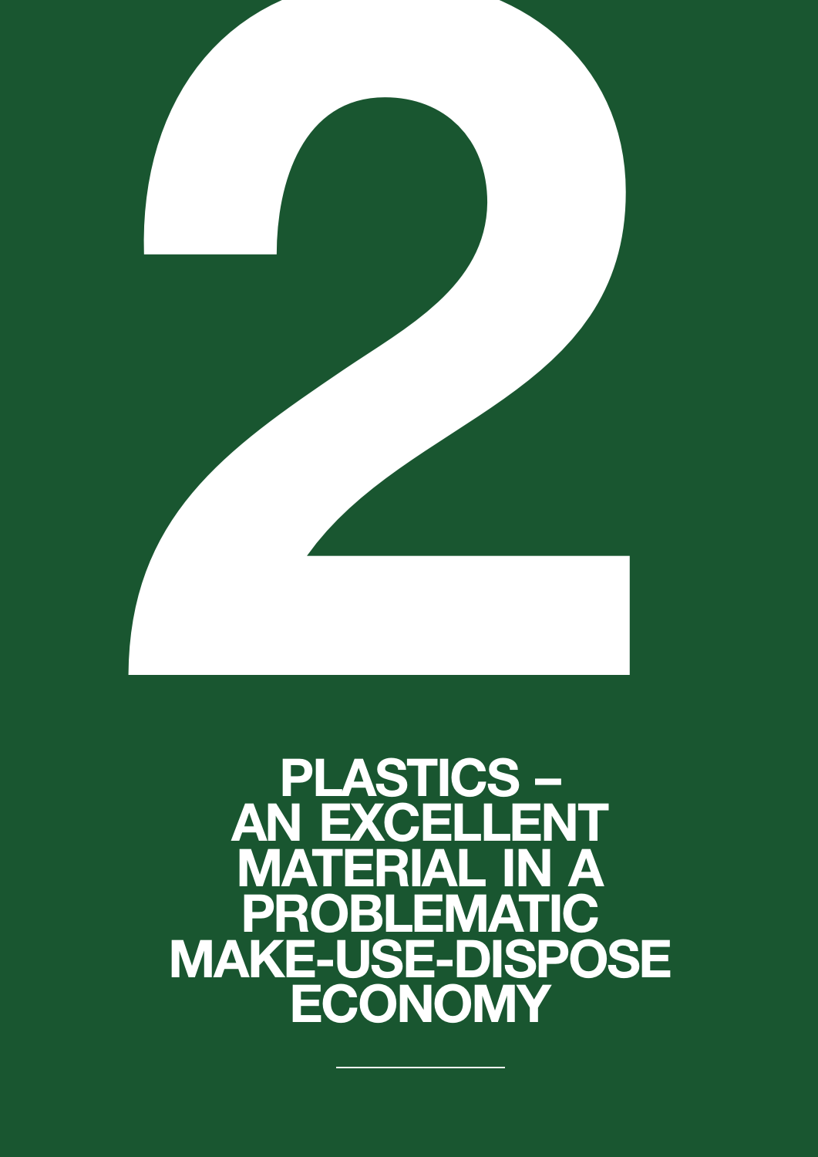<span id="page-12-0"></span>

### PLASTICS – **AN EXCELLENT** MATERIAL IN A PROBLEMATIC MAKE-USE-DISPOSE ECONOMY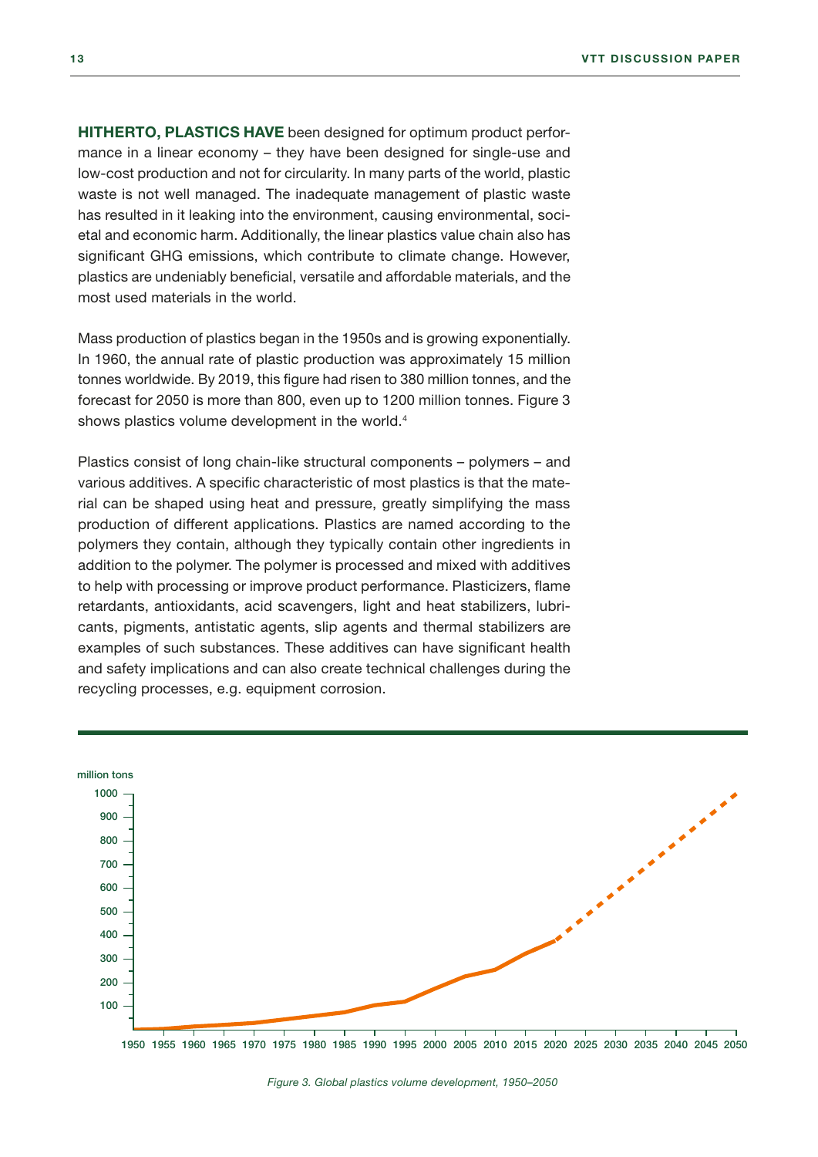HITHERTO, PLASTICS HAVE been designed for optimum product performance in a linear economy – they have been designed for single-use and low-cost production and not for circularity. In many parts of the world, plastic waste is not well managed. The inadequate management of plastic waste has resulted in it leaking into the environment, causing environmental, societal and economic harm. Additionally, the linear plastics value chain also has significant GHG emissions, which contribute to climate change. However, plastics are undeniably beneficial, versatile and affordable materials, and the most used materials in the world.

Mass production of plastics began in the 1950s and is growing exponentially. In 1960, the annual rate of plastic production was approximately 15 million tonnes worldwide. By 2019, this figure had risen to 380 million tonnes, and the forecast for 2050 is more than 800, even up to 1200 million tonnes. Figure 3 shows plastics volume development in the world.<sup>4</sup>

Plastics consist of long chain-like structural components – polymers – and various additives. A specific characteristic of most plastics is that the material can be shaped using heat and pressure, greatly simplifying the mass production of different applications. Plastics are named according to the polymers they contain, although they typically contain other ingredients in addition to the polymer. The polymer is processed and mixed with additives to help with processing or improve product performance. Plasticizers, flame retardants, antioxidants, acid scavengers, light and heat stabilizers, lubricants, pigments, antistatic agents, slip agents and thermal stabilizers are examples of such substances. These additives can have significant health and safety implications and can also create technical challenges during the recycling processes, e.g. equipment corrosion.

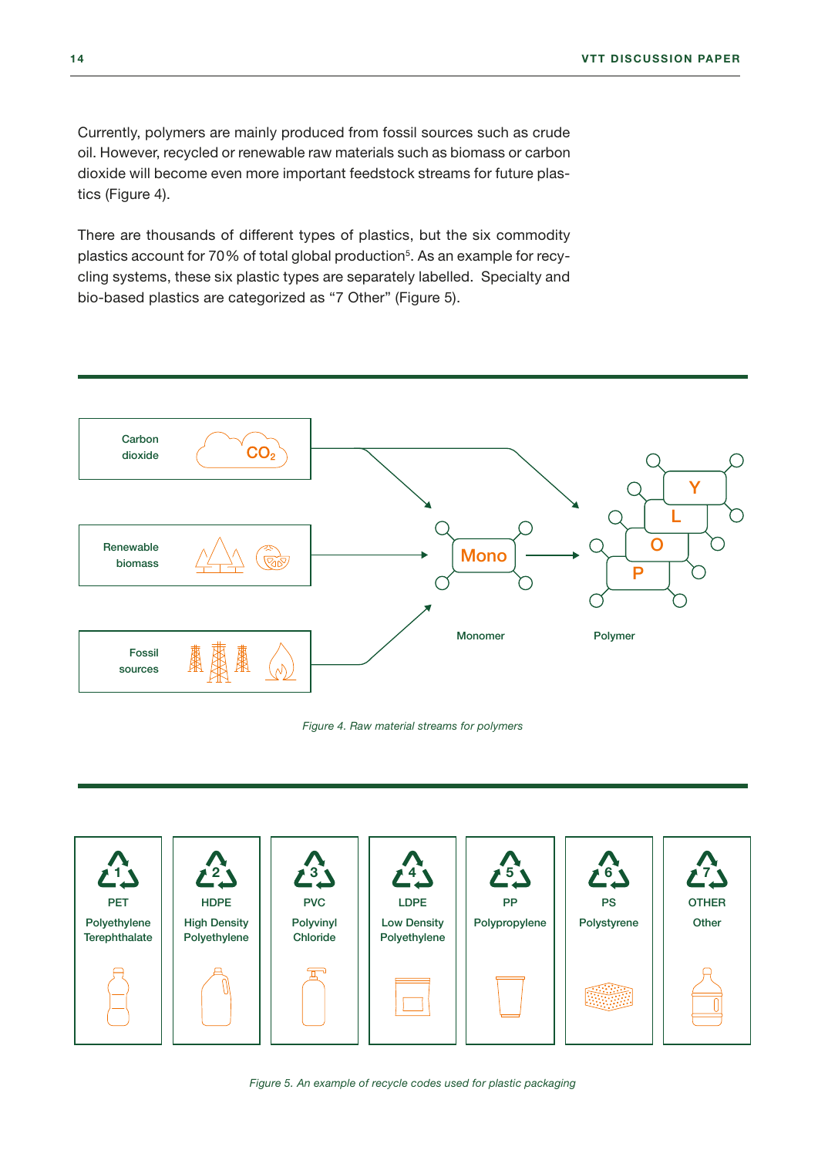Currently, polymers are mainly produced from fossil sources such as crude oil. However, recycled or renewable raw materials such as biomass or carbon dioxide will become even more important feedstock streams for future plastics (Figure 4).

There are thousands of different types of plastics, but the six commodity plastics account for 70% of total global production<sup>5</sup>. As an example for recycling systems, these six plastic types are separately labelled. Specialty and bio-based plastics are categorized as "7 Other" (Figure 5).



#### *Figure 4. Raw material streams for polymers*

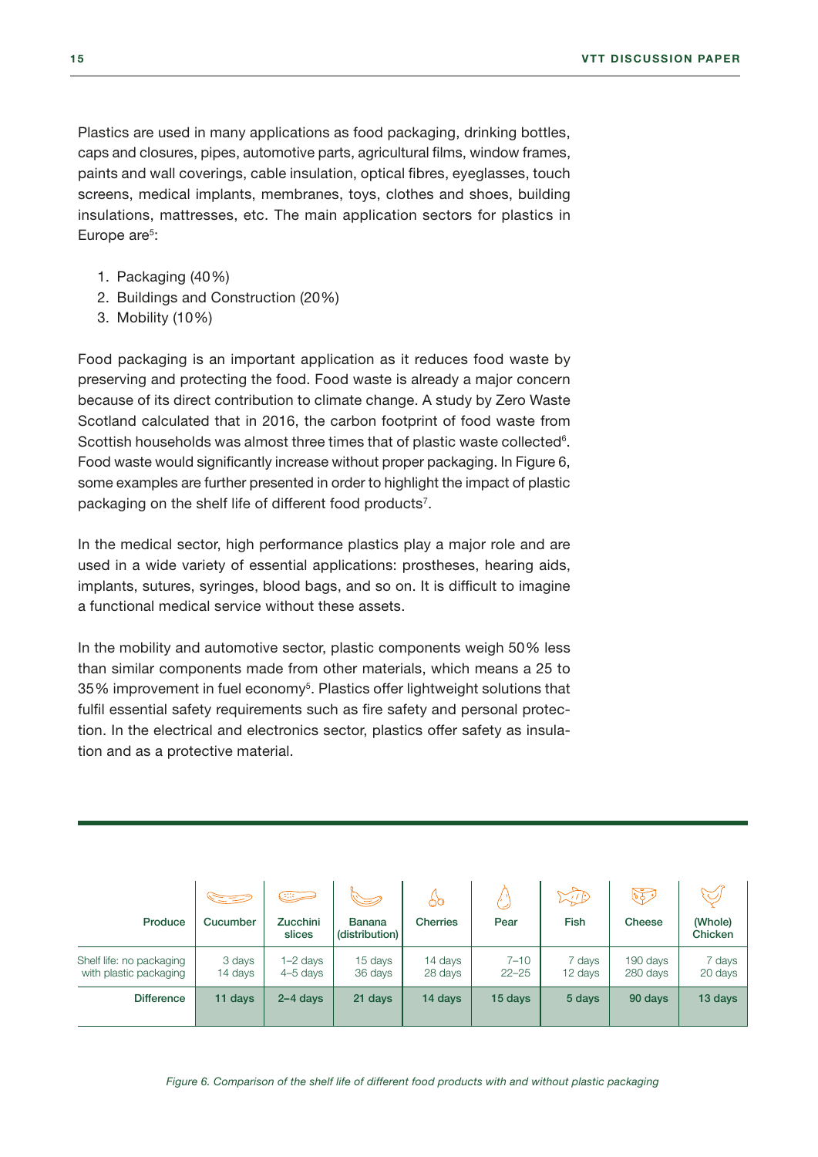Plastics are used in many applications as food packaging, drinking bottles, caps and closures, pipes, automotive parts, agricultural films, window frames, paints and wall coverings, cable insulation, optical fibres, eyeglasses, touch screens, medical implants, membranes, toys, clothes and shoes, building insulations, mattresses, etc. The main application sectors for plastics in Europe are<sup>5</sup>:

- 1. Packaging (40%)
- 2. Buildings and Construction (20%)
- 3. Mobility (10%)

Food packaging is an important application as it reduces food waste by preserving and protecting the food. Food waste is already a major concern because of its direct contribution to climate change. A study by Zero Waste Scotland calculated that in 2016, the carbon footprint of food waste from Scottish households was almost three times that of plastic waste collected $6$ . Food waste would significantly increase without proper packaging. In Figure 6, some examples are further presented in order to highlight the impact of plastic packaging on the shelf life of different food products<sup>7</sup>.

In the medical sector, high performance plastics play a major role and are used in a wide variety of essential applications: prostheses, hearing aids, implants, sutures, syringes, blood bags, and so on. It is difficult to imagine a functional medical service without these assets.

In the mobility and automotive sector, plastic components weigh 50% less than similar components made from other materials, which means a 25 to 35% improvement in fuel economy<sup>5</sup>. Plastics offer lightweight solutions that fulfil essential safety requirements such as fire safety and personal protection. In the electrical and electronics sector, plastics offer safety as insulation and as a protective material.

| Produce                                            | SE S<br>Cucumber  | كتنك<br><b>Zucchini</b><br>slices | <b>Banana</b><br>(distribution) | ර්<br><b>Cherries</b> | Pear                  | $\mathbb{Z}/\mathbb{P}$<br><b>Fish</b> | $\widetilde{\mathbb{F}_{q}}$<br>Cheese | (Whole)<br>Chicken |
|----------------------------------------------------|-------------------|-----------------------------------|---------------------------------|-----------------------|-----------------------|----------------------------------------|----------------------------------------|--------------------|
| Shelf life: no packaging<br>with plastic packaging | 3 days<br>14 days | $1-2$ days<br>$4-5$ days          | 15 days<br>36 days              | 14 days<br>28 days    | $7 - 10$<br>$22 - 25$ | 7 days<br>12 days                      | 190 days<br>280 days                   | 7 days<br>20 days  |
| <b>Difference</b>                                  | 11 days           | $2 - 4$ days                      | 21 days                         | 14 days               | 15 days               | 5 days                                 | 90 days                                | 13 days            |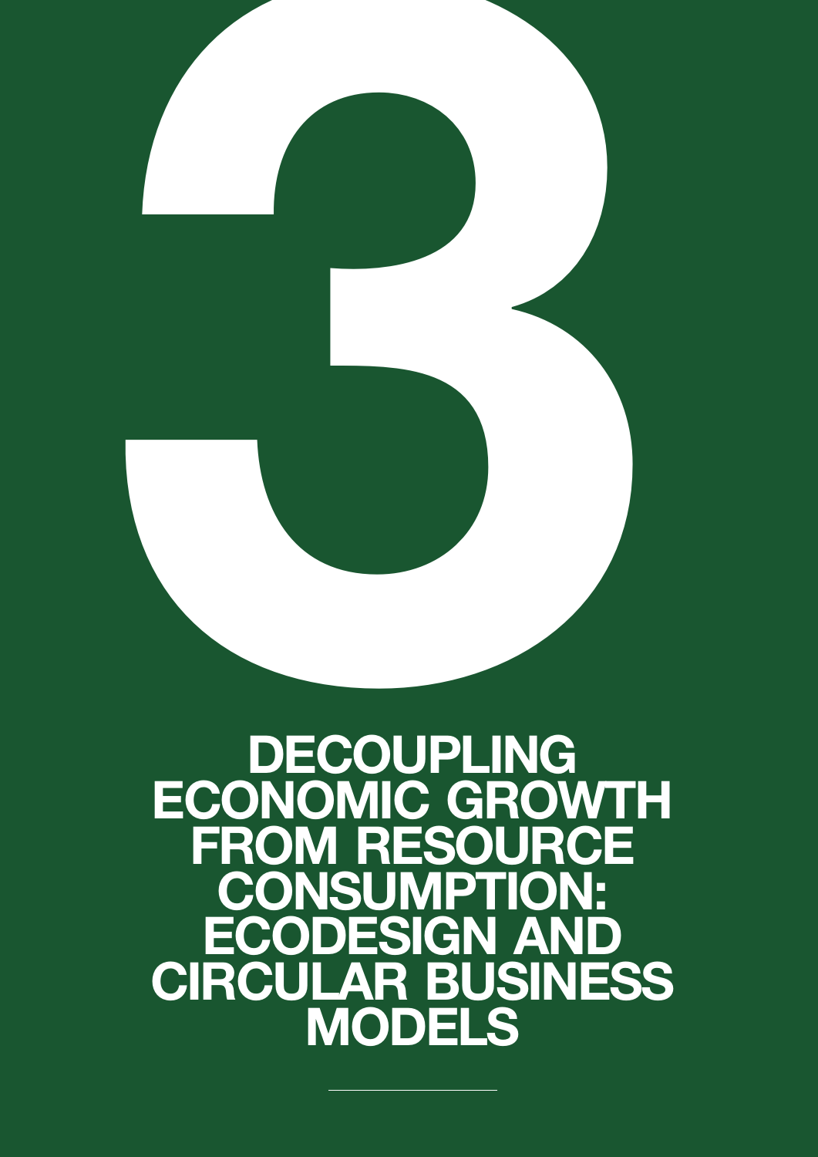## **DECOUPLING** ECONOMIC GROWTH FROM RESOURCE **CONSUMPTION:<br>ECODESIGN AND** ECODESIGN AND CIRCULAR BUSINESS MODELS DECOUPLING

<span id="page-16-0"></span>16 VTT DISCUSSION PAPER DE L'ARCHET DE L'ARCHET DE L'ARCHET DE L'ARCHET DE L'ARCHET DE L'ARCHET DE L'ARCHET D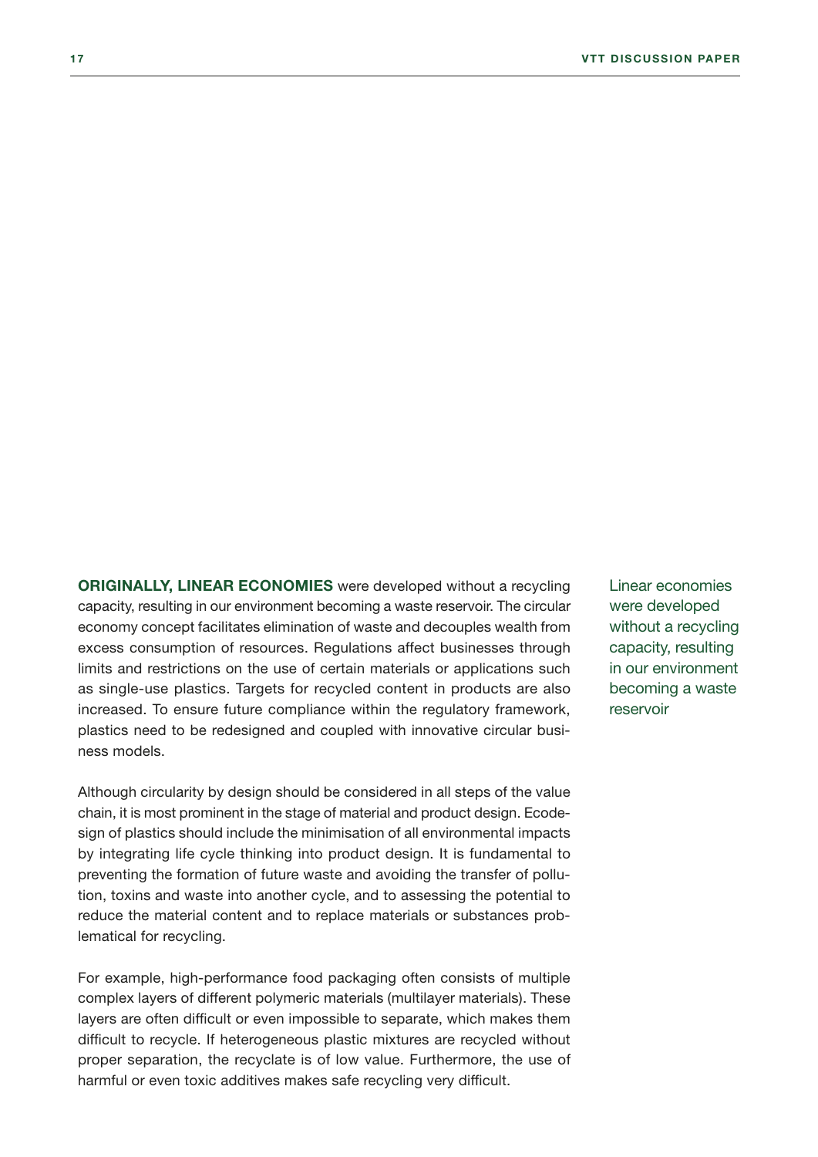ORIGINALLY, LINEAR ECONOMIES were developed without a recycling capacity, resulting in our environment becoming a waste reservoir. The circular economy concept facilitates elimination of waste and decouples wealth from excess consumption of resources. Regulations affect businesses through limits and restrictions on the use of certain materials or applications such as single-use plastics. Targets for recycled content in products are also increased. To ensure future compliance within the regulatory framework, plastics need to be redesigned and coupled with innovative circular business models.

Although circularity by design should be considered in all steps of the value chain, it is most prominent in the stage of material and product design. Ecodesign of plastics should include the minimisation of all environmental impacts by integrating life cycle thinking into product design. It is fundamental to preventing the formation of future waste and avoiding the transfer of pollution, toxins and waste into another cycle, and to assessing the potential to reduce the material content and to replace materials or substances problematical for recycling.

For example, high-performance food packaging often consists of multiple complex layers of different polymeric materials (multilayer materials). These layers are often difficult or even impossible to separate, which makes them difficult to recycle. If heterogeneous plastic mixtures are recycled without proper separation, the recyclate is of low value. Furthermore, the use of harmful or even toxic additives makes safe recycling very difficult.

Linear economies were developed without a recycling capacity, resulting in our environment becoming a waste reservoir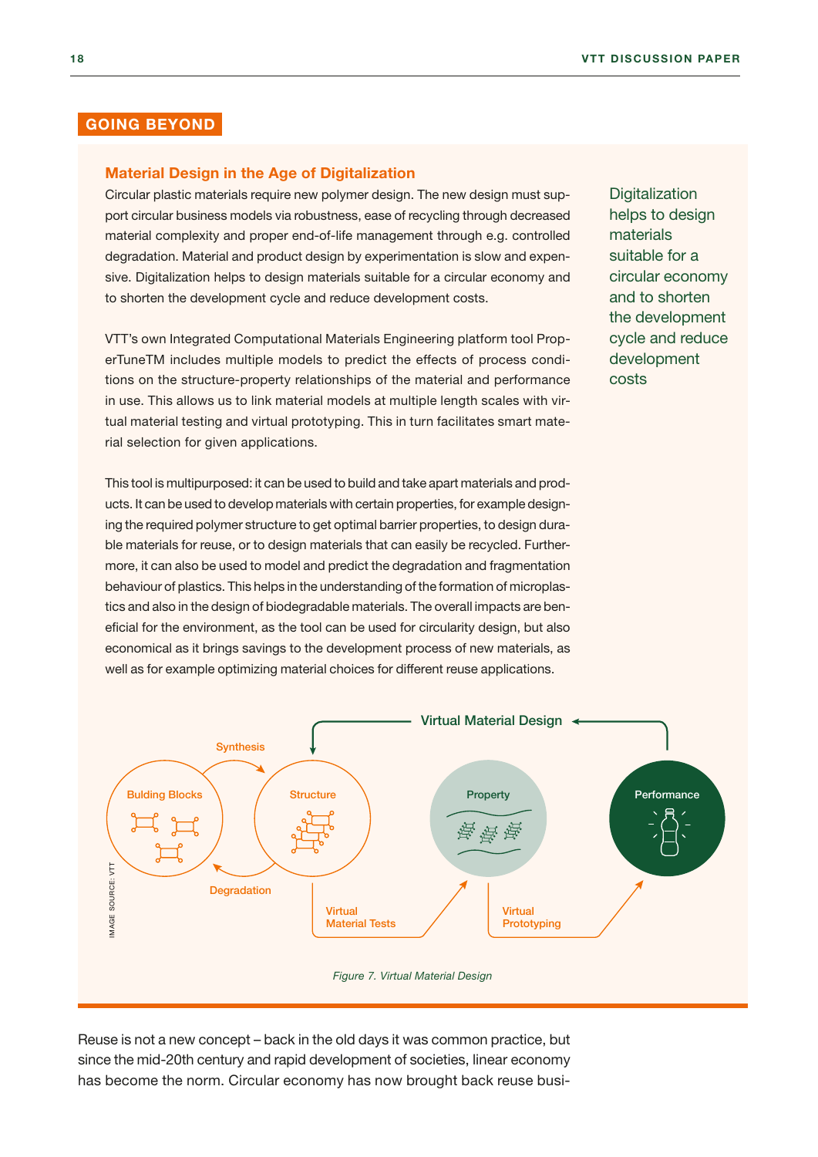#### GOING BEYOND

#### Material Design in the Age of Digitalization

Circular plastic materials require new polymer design. The new design must support circular business models via robustness, ease of recycling through decreased material complexity and proper end-of-life management through e.g. controlled degradation. Material and product design by experimentation is slow and expensive. Digitalization helps to design materials suitable for a circular economy and to shorten the development cycle and reduce development costs.

VTT's own Integrated Computational Materials Engineering platform tool ProperTuneTM includes multiple models to predict the effects of process conditions on the structure-property relationships of the material and performance in use. This allows us to link material models at multiple length scales with virtual material testing and virtual prototyping. This in turn facilitates smart material selection for given applications.

This tool is multipurposed: it can be used to build and take apart materials and products. It can be used to develop materials with certain properties, for example designing the required polymer structure to get optimal barrier properties, to design durable materials for reuse, or to design materials that can easily be recycled. Furthermore, it can also be used to model and predict the degradation and fragmentation behaviour of plastics. This helps in the understanding of the formation of microplastics and also in the design of biodegradable materials. The overall impacts are beneficial for the environment, as the tool can be used for circularity design, but also economical as it brings savings to the development process of new materials, as well as for example optimizing material choices for different reuse applications.

**Digitalization** helps to design materials suitable for a circular economy and to shorten the development cycle and reduce development costs



Reuse is not a new concept – back in the old days it was common practice, but since the mid-20th century and rapid development of societies, linear economy has become the norm. Circular economy has now brought back reuse busi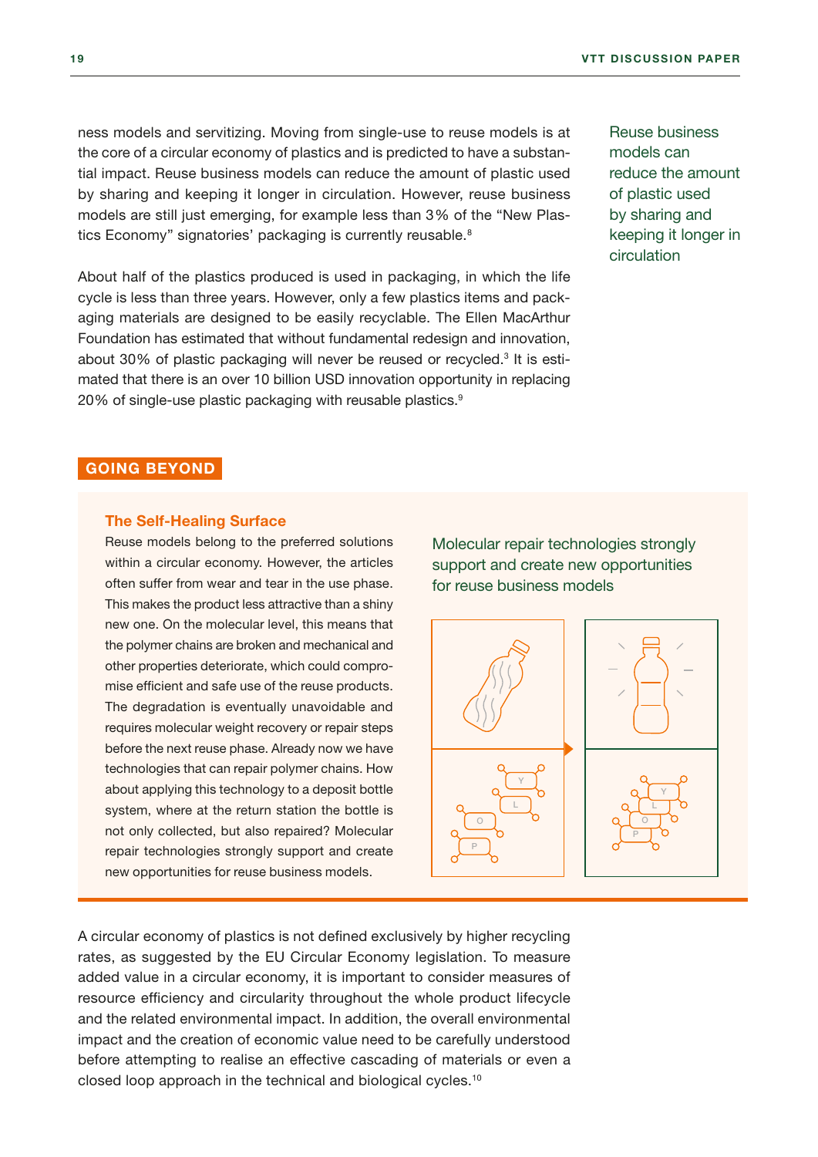ness models and servitizing. Moving from single-use to reuse models is at the core of a circular economy of plastics and is predicted to have a substantial impact. Reuse business models can reduce the amount of plastic used by sharing and keeping it longer in circulation. However, reuse business models are still just emerging, for example less than 3% of the "New Plastics Economy" signatories' packaging is currently reusable.<sup>8</sup>

About half of the plastics produced is used in packaging, in which the life cycle is less than three years. However, only a few plastics items and packaging materials are designed to be easily recyclable. The Ellen MacArthur Foundation has estimated that without fundamental redesign and innovation, about 30% of plastic packaging will never be reused or recycled.<sup>3</sup> It is estimated that there is an over 10 billion USD innovation opportunity in replacing 20% of single-use plastic packaging with reusable plastics.<sup>9</sup>

Reuse business models can reduce the amount of plastic used by sharing and keeping it longer in circulation

#### GOING BEYOND

#### The Self-Healing Surface

Reuse models belong to the preferred solutions within a circular economy. However, the articles often suffer from wear and tear in the use phase. This makes the product less attractive than a shiny new one. On the molecular level, this means that the polymer chains are broken and mechanical and other properties deteriorate, which could compromise efficient and safe use of the reuse products. The degradation is eventually unavoidable and requires molecular weight recovery or repair steps before the next reuse phase. Already now we have technologies that can repair polymer chains. How about applying this technology to a deposit bottle system, where at the return station the bottle is not only collected, but also repaired? Molecular repair technologies strongly support and create new opportunities for reuse business models.

Molecular repair technologies strongly support and create new opportunities for reuse business models



A circular economy of plastics is not defined exclusively by higher recycling rates, as suggested by the EU Circular Economy legislation. To measure added value in a circular economy, it is important to consider measures of resource efficiency and circularity throughout the whole product lifecycle and the related environmental impact. In addition, the overall environmental impact and the creation of economic value need to be carefully understood before attempting to realise an effective cascading of materials or even a closed loop approach in the technical and biological cycles.<sup>10</sup>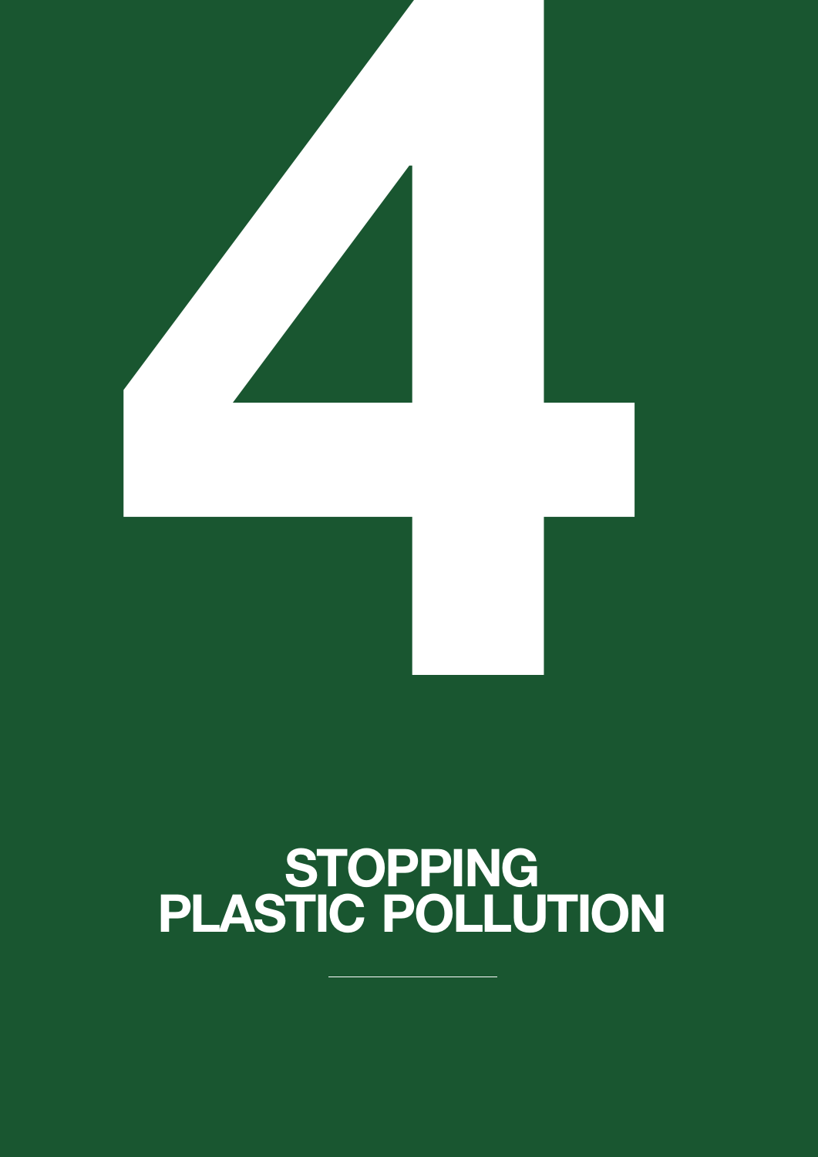## **STOPPING** PLASTIC POLLUTION

<span id="page-20-0"></span>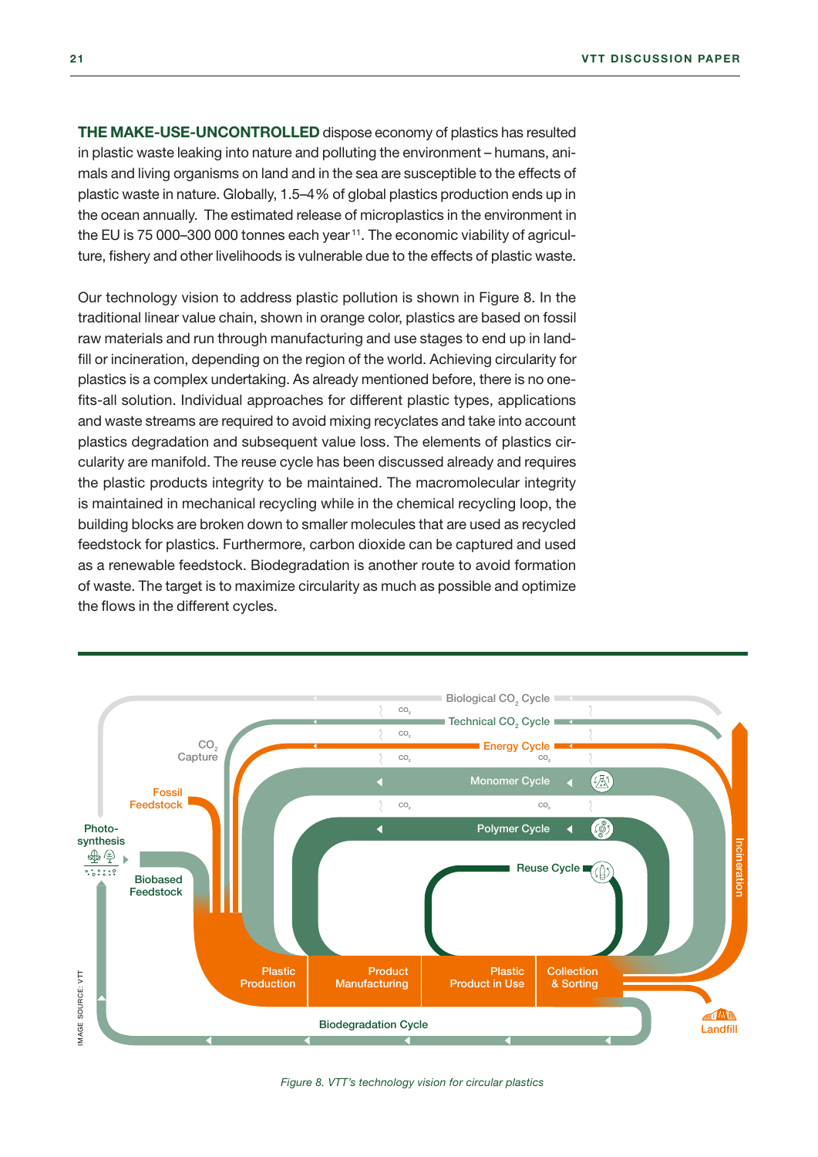THE MAKE-USE-UNCONTROLLED dispose economy of plastics has resulted in plastic waste leaking into nature and polluting the environment – humans, animals and living organisms on land and in the sea are susceptible to the effects of plastic waste in nature. Globally, 1.5–4% of global plastics production ends up in the ocean annually. The estimated release of microplastics in the environment in the EU is 75 000–300 000 tonnes each year 11. The economic viability of agriculture, fishery and other livelihoods is vulnerable due to the effects of plastic waste.

Our technology vision to address plastic pollution is shown in Figure 8. In the traditional linear value chain, shown in orange color, plastics are based on fossil raw materials and run through manufacturing and use stages to end up in landfill or incineration, depending on the region of the world. Achieving circularity for plastics is a complex undertaking. As already mentioned before, there is no onefits-all solution. Individual approaches for different plastic types, applications and waste streams are required to avoid mixing recyclates and take into account plastics degradation and subsequent value loss. The elements of plastics circularity are manifold. The reuse cycle has been discussed already and requires the plastic products integrity to be maintained. The macromolecular integrity is maintained in mechanical recycling while in the chemical recycling loop, the building blocks are broken down to smaller molecules that are used as recycled feedstock for plastics. Furthermore, carbon dioxide can be captured and used as a renewable feedstock. Biodegradation is another route to avoid formation of waste. The target is to maximize circularity as much as possible and optimize the flows in the different cycles.



*Figure 8. VTT's technology vision for circular plastics*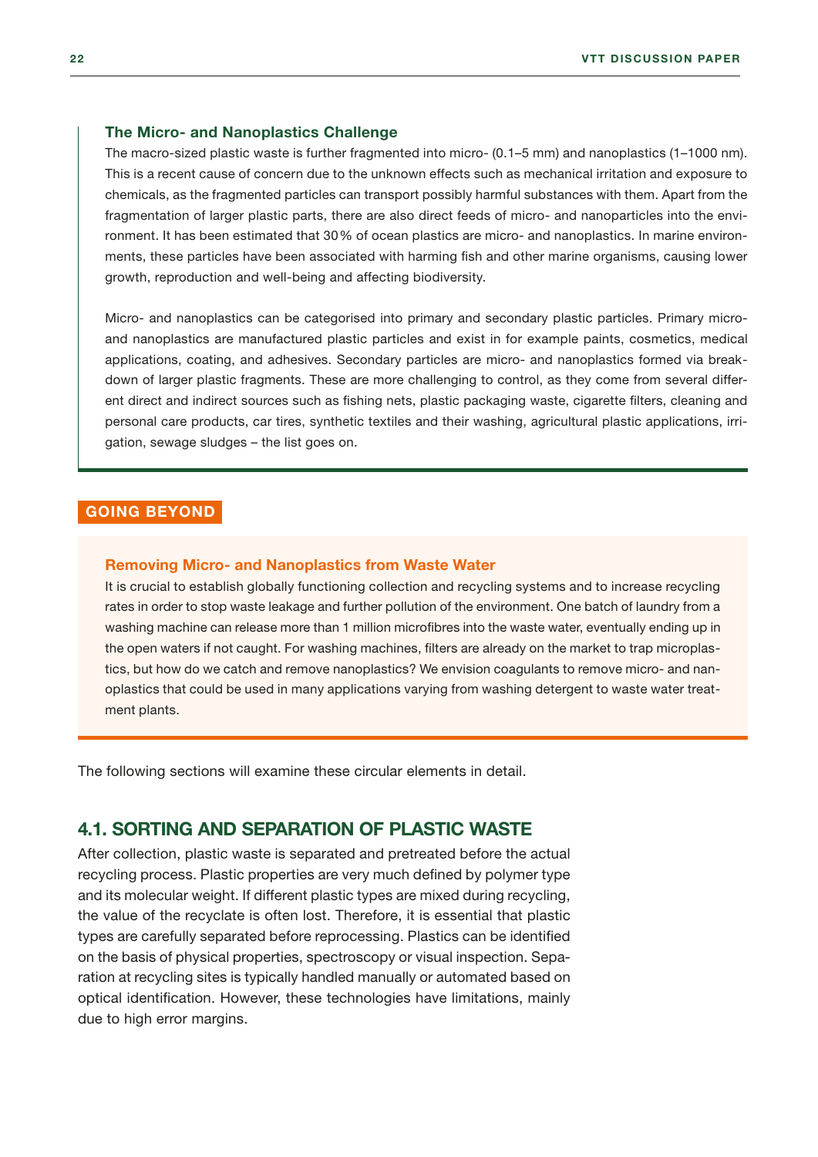#### <span id="page-22-0"></span>The Micro- and Nanoplastics Challenge

The macro-sized plastic waste is further fragmented into micro- (0.1–5 mm) and nanoplastics (1–1000 nm). This is a recent cause of concern due to the unknown effects such as mechanical irritation and exposure to chemicals, as the fragmented particles can transport possibly harmful substances with them. Apart from the fragmentation of larger plastic parts, there are also direct feeds of micro- and nanoparticles into the environment. It has been estimated that 30% of ocean plastics are micro- and nanoplastics. In marine environments, these particles have been associated with harming fish and other marine organisms, causing lower growth, reproduction and well-being and affecting biodiversity.

Micro- and nanoplastics can be categorised into primary and secondary plastic particles. Primary microand nanoplastics are manufactured plastic particles and exist in for example paints, cosmetics, medical applications, coating, and adhesives. Secondary particles are micro- and nanoplastics formed via breakdown of larger plastic fragments. These are more challenging to control, as they come from several different direct and indirect sources such as fishing nets, plastic packaging waste, cigarette filters, cleaning and personal care products, car tires, synthetic textiles and their washing, agricultural plastic applications, irrigation, sewage sludges – the list goes on.

#### GOING BEYOND

#### Removing Micro- and Nanoplastics from Waste Water

It is crucial to establish globally functioning collection and recycling systems and to increase recycling rates in order to stop waste leakage and further pollution of the environment. One batch of laundry from a washing machine can release more than 1 million microfibres into the waste water, eventually ending up in the open waters if not caught. For washing machines, filters are already on the market to trap microplastics, but how do we catch and remove nanoplastics? We envision coagulants to remove micro- and nanoplastics that could be used in many applications varying from washing detergent to waste water treatment plants.

The following sections will examine these circular elements in detail.

#### 4.1. SORTING AND SEPARATION OF PLASTIC WASTE

After collection, plastic waste is separated and pretreated before the actual recycling process. Plastic properties are very much defined by polymer type and its molecular weight. If different plastic types are mixed during recycling, the value of the recyclate is often lost. Therefore, it is essential that plastic types are carefully separated before reprocessing. Plastics can be identified on the basis of physical properties, spectroscopy or visual inspection. Separation at recycling sites is typically handled manually or automated based on optical identification. However, these technologies have limitations, mainly due to high error margins.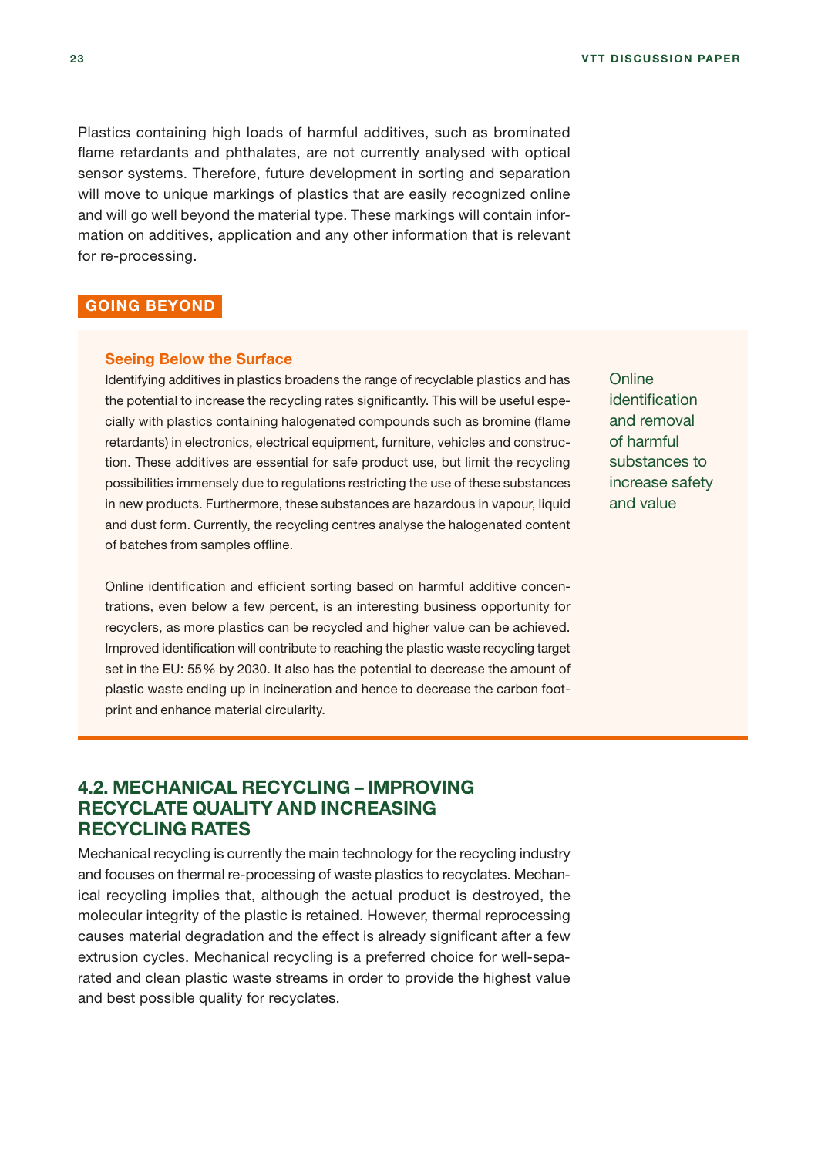<span id="page-23-0"></span>Plastics containing high loads of harmful additives, such as brominated flame retardants and phthalates, are not currently analysed with optical sensor systems. Therefore, future development in sorting and separation will move to unique markings of plastics that are easily recognized online and will go well beyond the material type. These markings will contain information on additives, application and any other information that is relevant for re-processing.

#### GOING BEYOND

#### Seeing Below the Surface

Identifying additives in plastics broadens the range of recyclable plastics and has the potential to increase the recycling rates significantly. This will be useful especially with plastics containing halogenated compounds such as bromine (flame retardants) in electronics, electrical equipment, furniture, vehicles and construction. These additives are essential for safe product use, but limit the recycling possibilities immensely due to regulations restricting the use of these substances in new products. Furthermore, these substances are hazardous in vapour, liquid and dust form. Currently, the recycling centres analyse the halogenated content of batches from samples offline.

Online identification and efficient sorting based on harmful additive concentrations, even below a few percent, is an interesting business opportunity for recyclers, as more plastics can be recycled and higher value can be achieved. Improved identification will contribute to reaching the plastic waste recycling target set in the EU: 55% by 2030. It also has the potential to decrease the amount of plastic waste ending up in incineration and hence to decrease the carbon footprint and enhance material circularity.

**Online** identification and removal of harmful substances to increase safety and value

#### 4.2. MECHANICAL RECYCLING – IMPROVING RECYCLATE QUALITY AND INCREASING RECYCLING RATES

Mechanical recycling is currently the main technology for the recycling industry and focuses on thermal re-processing of waste plastics to recyclates. Mechanical recycling implies that, although the actual product is destroyed, the molecular integrity of the plastic is retained. However, thermal reprocessing causes material degradation and the effect is already significant after a few extrusion cycles. Mechanical recycling is a preferred choice for well-separated and clean plastic waste streams in order to provide the highest value and best possible quality for recyclates.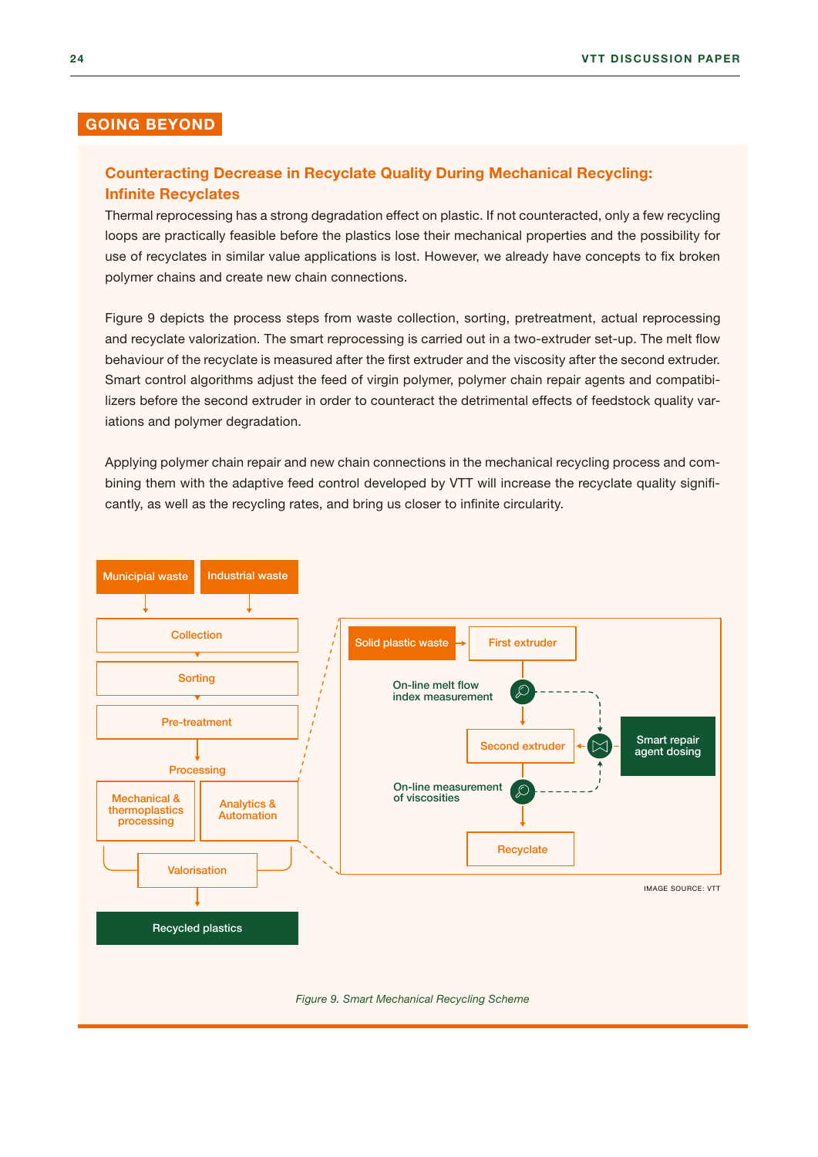#### GOING BEYOND

#### Counteracting Decrease in Recyclate Quality During Mechanical Recycling: Infinite Recyclates

Thermal reprocessing has a strong degradation effect on plastic. If not counteracted, only a few recycling loops are practically feasible before the plastics lose their mechanical properties and the possibility for use of recyclates in similar value applications is lost. However, we already have concepts to fix broken polymer chains and create new chain connections.

Figure 9 depicts the process steps from waste collection, sorting, pretreatment, actual reprocessing and recyclate valorization. The smart reprocessing is carried out in a two-extruder set-up. The melt flow behaviour of the recyclate is measured after the first extruder and the viscosity after the second extruder. Smart control algorithms adjust the feed of virgin polymer, polymer chain repair agents and compatibilizers before the second extruder in order to counteract the detrimental effects of feedstock quality variations and polymer degradation.

Applying polymer chain repair and new chain connections in the mechanical recycling process and combining them with the adaptive feed control developed by VTT will increase the recyclate quality significantly, as well as the recycling rates, and bring us closer to infinite circularity.

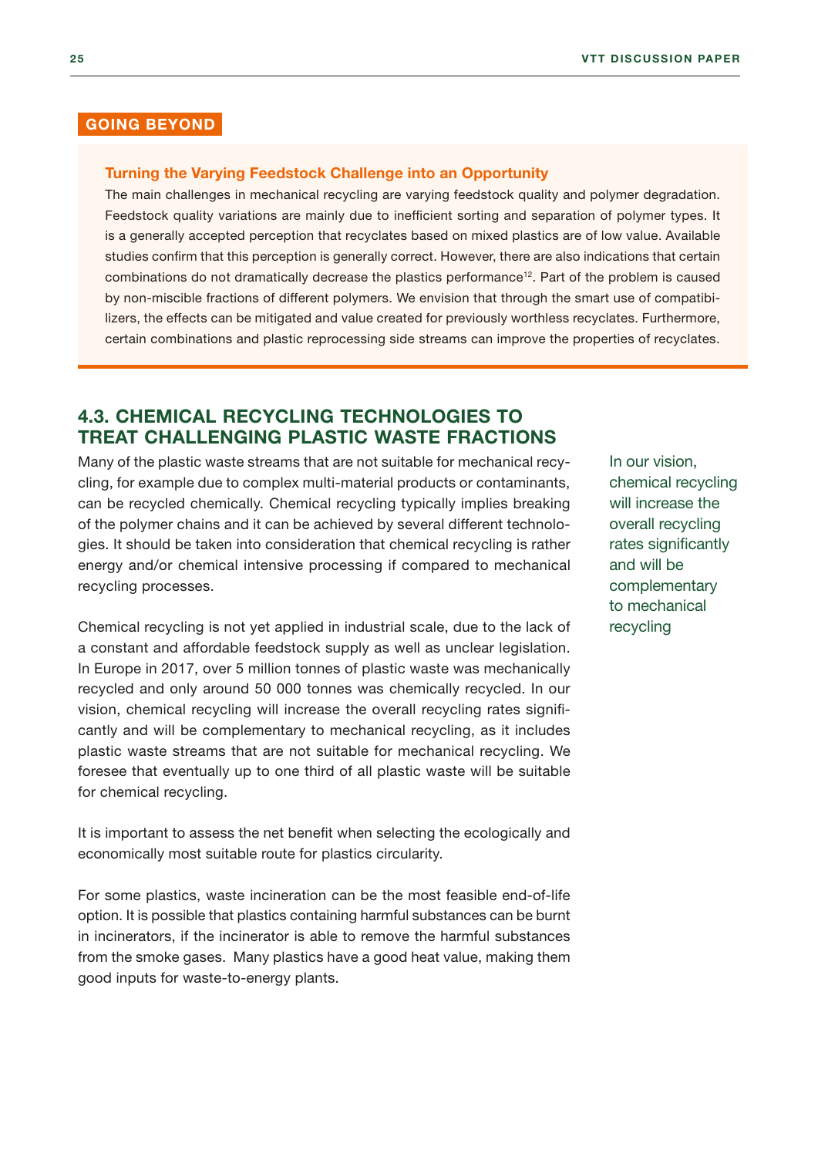#### <span id="page-25-0"></span>GOING BEYOND

#### Turning the Varying Feedstock Challenge into an Opportunity

The main challenges in mechanical recycling are varying feedstock quality and polymer degradation. Feedstock quality variations are mainly due to inefficient sorting and separation of polymer types. It is a generally accepted perception that recyclates based on mixed plastics are of low value. Available studies confirm that this perception is generally correct. However, there are also indications that certain combinations do not dramatically decrease the plastics performance12. Part of the problem is caused by non-miscible fractions of different polymers. We envision that through the smart use of compatibilizers, the effects can be mitigated and value created for previously worthless recyclates. Furthermore, certain combinations and plastic reprocessing side streams can improve the properties of recyclates.

#### 4.3. CHEMICAL RECYCLING TECHNOLOGIES TO TREAT CHALLENGING PLASTIC WASTE FRACTIONS

Many of the plastic waste streams that are not suitable for mechanical recycling, for example due to complex multi-material products or contaminants, can be recycled chemically. Chemical recycling typically implies breaking of the polymer chains and it can be achieved by several different technologies. It should be taken into consideration that chemical recycling is rather energy and/or chemical intensive processing if compared to mechanical recycling processes.

Chemical recycling is not yet applied in industrial scale, due to the lack of a constant and affordable feedstock supply as well as unclear legislation. In Europe in 2017, over 5 million tonnes of plastic waste was mechanically recycled and only around 50 000 tonnes was chemically recycled. In our vision, chemical recycling will increase the overall recycling rates significantly and will be complementary to mechanical recycling, as it includes plastic waste streams that are not suitable for mechanical recycling. We foresee that eventually up to one third of all plastic waste will be suitable for chemical recycling.

It is important to assess the net benefit when selecting the ecologically and economically most suitable route for plastics circularity.

For some plastics, waste incineration can be the most feasible end-of-life option. It is possible that plastics containing harmful substances can be burnt in incinerators, if the incinerator is able to remove the harmful substances from the smoke gases. Many plastics have a good heat value, making them good inputs for waste-to-energy plants.

In our vision, chemical recycling will increase the overall recycling rates significantly and will be complementary to mechanical recycling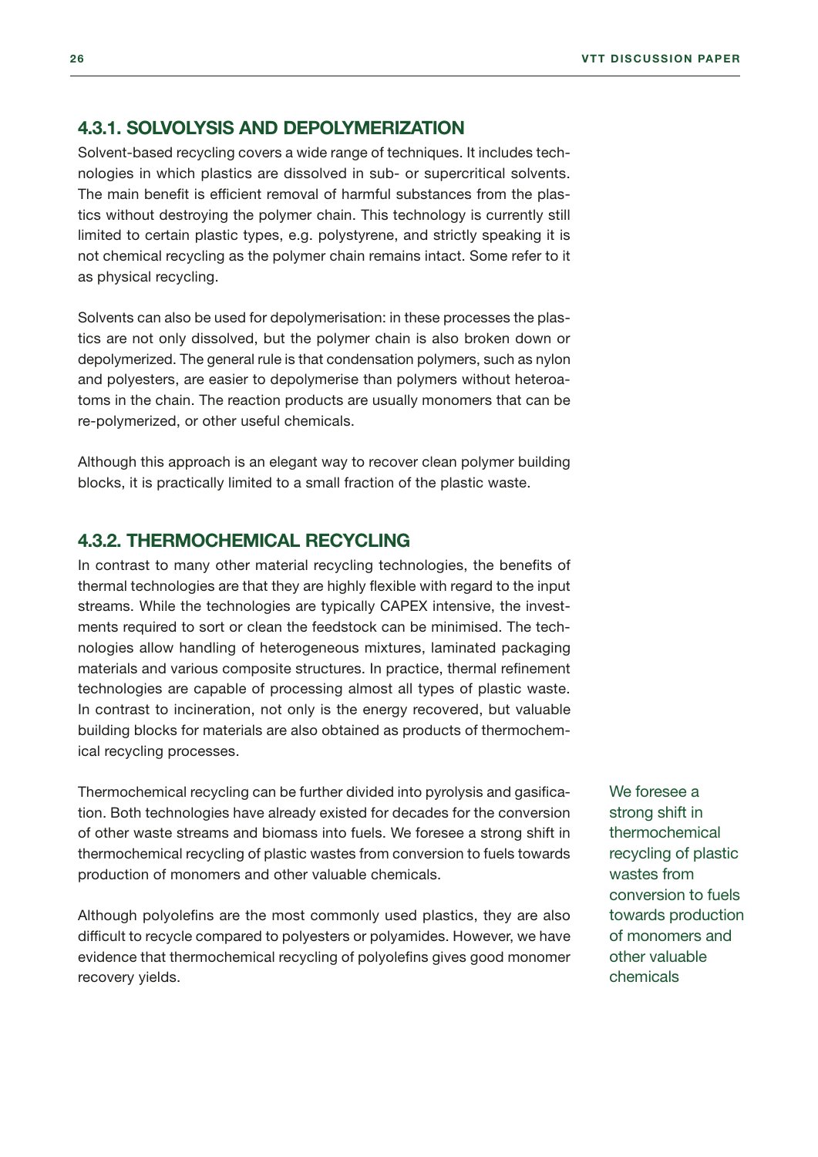#### <span id="page-26-0"></span>4.3.1. SOLVOLYSIS AND DEPOLYMERIZATION

Solvent-based recycling covers a wide range of techniques. It includes technologies in which plastics are dissolved in sub- or supercritical solvents. The main benefit is efficient removal of harmful substances from the plastics without destroying the polymer chain. This technology is currently still limited to certain plastic types, e.g. polystyrene, and strictly speaking it is not chemical recycling as the polymer chain remains intact. Some refer to it as physical recycling.

Solvents can also be used for depolymerisation: in these processes the plastics are not only dissolved, but the polymer chain is also broken down or depolymerized. The general rule is that condensation polymers, such as nylon and polyesters, are easier to depolymerise than polymers without heteroatoms in the chain. The reaction products are usually monomers that can be re-polymerized, or other useful chemicals.

Although this approach is an elegant way to recover clean polymer building blocks, it is practically limited to a small fraction of the plastic waste.

#### 4.3.2. THERMOCHEMICAL RECYCLING

In contrast to many other material recycling technologies, the benefits of thermal technologies are that they are highly flexible with regard to the input streams. While the technologies are typically CAPEX intensive, the investments required to sort or clean the feedstock can be minimised. The technologies allow handling of heterogeneous mixtures, laminated packaging materials and various composite structures. In practice, thermal refinement technologies are capable of processing almost all types of plastic waste. In contrast to incineration, not only is the energy recovered, but valuable building blocks for materials are also obtained as products of thermochemical recycling processes.

Thermochemical recycling can be further divided into pyrolysis and gasification. Both technologies have already existed for decades for the conversion of other waste streams and biomass into fuels. We foresee a strong shift in thermochemical recycling of plastic wastes from conversion to fuels towards production of monomers and other valuable chemicals.

Although polyolefins are the most commonly used plastics, they are also difficult to recycle compared to polyesters or polyamides. However, we have evidence that thermochemical recycling of polyolefins gives good monomer recovery yields.

We foresee a strong shift in thermochemical recycling of plastic wastes from conversion to fuels towards production of monomers and other valuable chemicals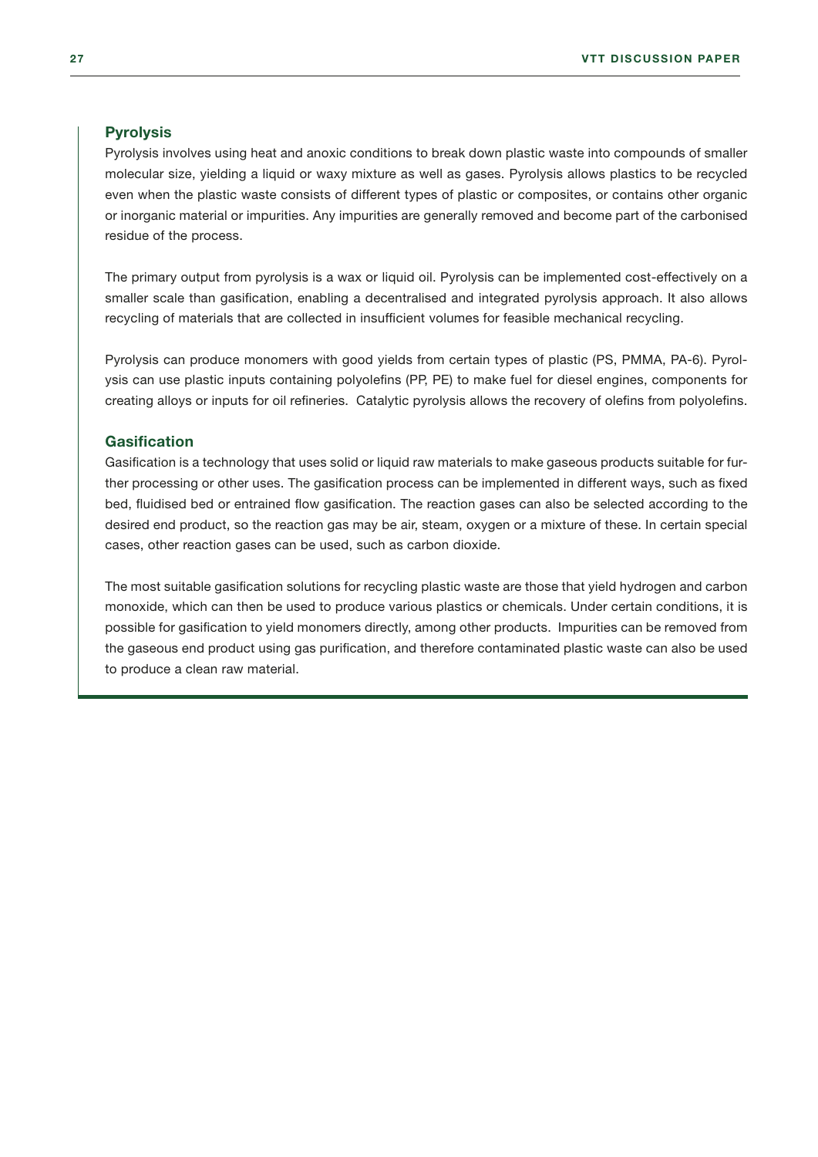#### **Pyrolysis**

Pyrolysis involves using heat and anoxic conditions to break down plastic waste into compounds of smaller molecular size, yielding a liquid or waxy mixture as well as gases. Pyrolysis allows plastics to be recycled even when the plastic waste consists of different types of plastic or composites, or contains other organic or inorganic material or impurities. Any impurities are generally removed and become part of the carbonised residue of the process.

The primary output from pyrolysis is a wax or liquid oil. Pyrolysis can be implemented cost-effectively on a smaller scale than gasification, enabling a decentralised and integrated pyrolysis approach. It also allows recycling of materials that are collected in insufficient volumes for feasible mechanical recycling.

Pyrolysis can produce monomers with good yields from certain types of plastic (PS, PMMA, PA-6). Pyrolysis can use plastic inputs containing polyolefins (PP, PE) to make fuel for diesel engines, components for creating alloys or inputs for oil refineries. Catalytic pyrolysis allows the recovery of olefins from polyolefins.

#### **Gasification**

Gasification is a technology that uses solid or liquid raw materials to make gaseous products suitable for further processing or other uses. The gasification process can be implemented in different ways, such as fixed bed, fluidised bed or entrained flow gasification. The reaction gases can also be selected according to the desired end product, so the reaction gas may be air, steam, oxygen or a mixture of these. In certain special cases, other reaction gases can be used, such as carbon dioxide.

The most suitable gasification solutions for recycling plastic waste are those that yield hydrogen and carbon monoxide, which can then be used to produce various plastics or chemicals. Under certain conditions, it is possible for gasification to yield monomers directly, among other products. Impurities can be removed from the gaseous end product using gas purification, and therefore contaminated plastic waste can also be used to produce a clean raw material.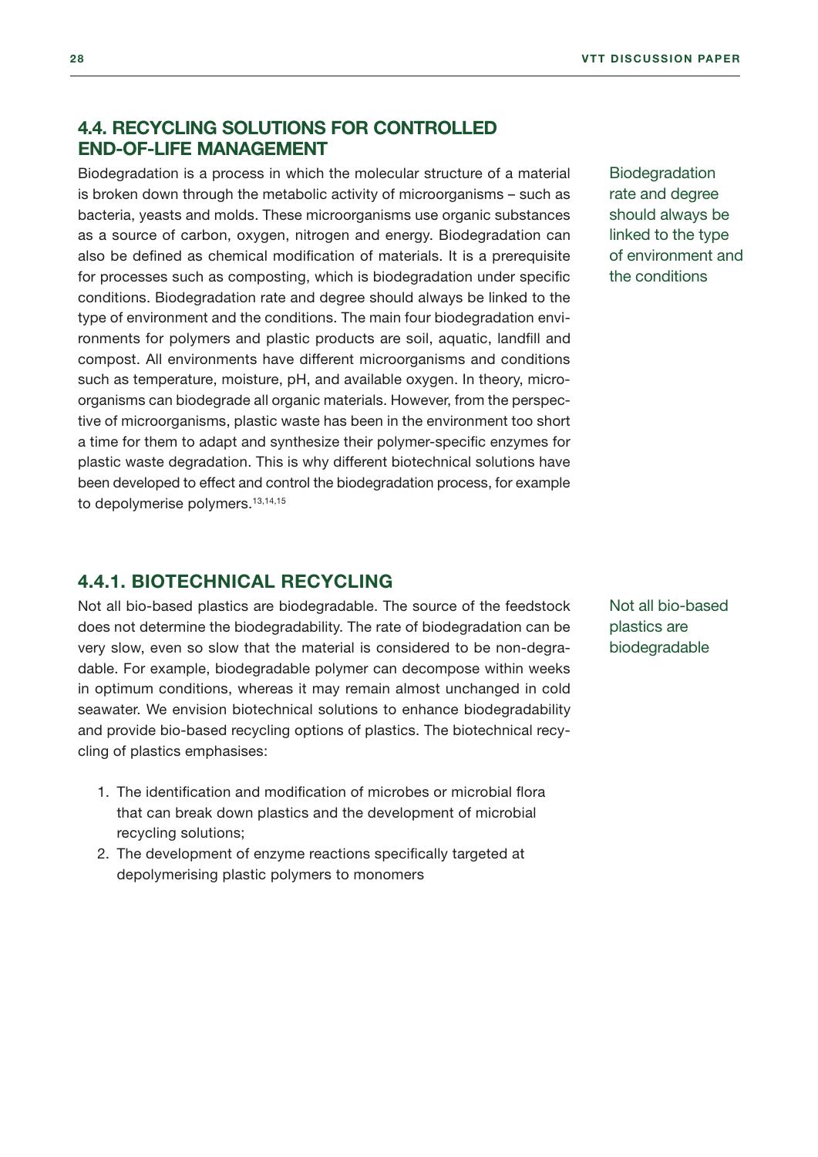#### <span id="page-28-0"></span>4.4. RECYCLING SOLUTIONS FOR CONTROLLED END-OF-LIFE MANAGEMENT

Biodegradation is a process in which the molecular structure of a material is broken down through the metabolic activity of microorganisms – such as bacteria, yeasts and molds. These microorganisms use organic substances as a source of carbon, oxygen, nitrogen and energy. Biodegradation can also be defined as chemical modification of materials. It is a prerequisite for processes such as composting, which is biodegradation under specific conditions. Biodegradation rate and degree should always be linked to the type of environment and the conditions. The main four biodegradation environments for polymers and plastic products are soil, aquatic, landfill and compost. All environments have different microorganisms and conditions such as temperature, moisture, pH, and available oxygen. In theory, microorganisms can biodegrade all organic materials. However, from the perspective of microorganisms, plastic waste has been in the environment too short a time for them to adapt and synthesize their polymer-specific enzymes for plastic waste degradation. This is why different biotechnical solutions have been developed to effect and control the biodegradation process, for example to depolymerise polymers.<sup>13,14,15</sup>

**Biodegradation** rate and degree should always be linked to the type of environment and the conditions

#### 4.4.1. BIOTECHNICAL RECYCLING

Not all bio-based plastics are biodegradable. The source of the feedstock does not determine the biodegradability. The rate of biodegradation can be very slow, even so slow that the material is considered to be non-degradable. For example, biodegradable polymer can decompose within weeks in optimum conditions, whereas it may remain almost unchanged in cold seawater. We envision biotechnical solutions to enhance biodegradability and provide bio-based recycling options of plastics. The biotechnical recycling of plastics emphasises:

- 1. The identification and modification of microbes or microbial flora that can break down plastics and the development of microbial recycling solutions;
- 2. The development of enzyme reactions specifically targeted at depolymerising plastic polymers to monomers

Not all bio-based plastics are biodegradable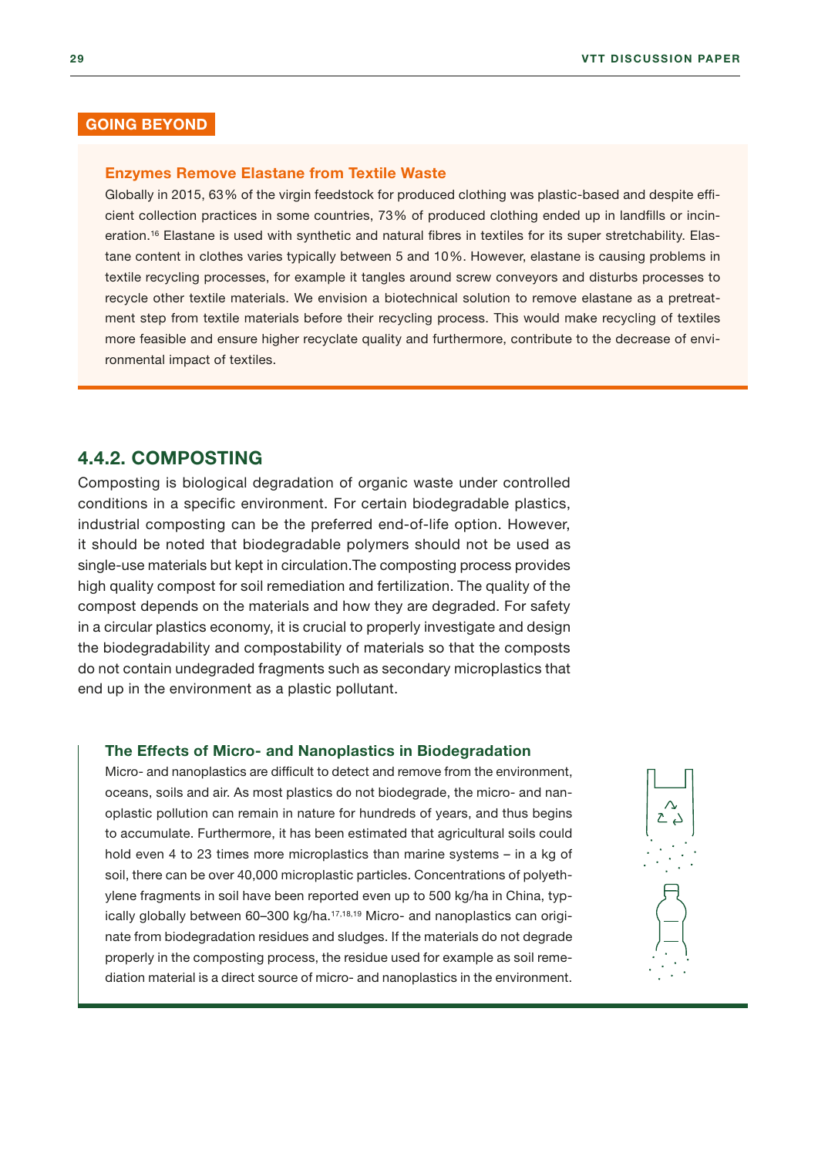#### <span id="page-29-0"></span>GOING BEYOND

#### Enzymes Remove Elastane from Textile Waste

Globally in 2015, 63% of the virgin feedstock for produced clothing was plastic-based and despite efficient collection practices in some countries, 73% of produced clothing ended up in landfills or incineration.16 Elastane is used with synthetic and natural fibres in textiles for its super stretchability. Elastane content in clothes varies typically between 5 and 10%. However, elastane is causing problems in textile recycling processes, for example it tangles around screw conveyors and disturbs processes to recycle other textile materials. We envision a biotechnical solution to remove elastane as a pretreatment step from textile materials before their recycling process. This would make recycling of textiles more feasible and ensure higher recyclate quality and furthermore, contribute to the decrease of environmental impact of textiles.

#### 4.4.2. COMPOSTING

Composting is biological degradation of organic waste under controlled conditions in a specific environment. For certain biodegradable plastics, industrial composting can be the preferred end-of-life option. However, it should be noted that biodegradable polymers should not be used as single-use materials but kept in circulation.The composting process provides high quality compost for soil remediation and fertilization. The quality of the compost depends on the materials and how they are degraded. For safety in a circular plastics economy, it is crucial to properly investigate and design the biodegradability and compostability of materials so that the composts do not contain undegraded fragments such as secondary microplastics that end up in the environment as a plastic pollutant.

#### The Effects of Micro- and Nanoplastics in Biodegradation

Micro- and nanoplastics are difficult to detect and remove from the environment, oceans, soils and air. As most plastics do not biodegrade, the micro- and nanoplastic pollution can remain in nature for hundreds of years, and thus begins to accumulate. Furthermore, it has been estimated that agricultural soils could hold even 4 to 23 times more microplastics than marine systems – in a kg of soil, there can be over 40,000 microplastic particles. Concentrations of polyethylene fragments in soil have been reported even up to 500 kg/ha in China, typically globally between 60-300 kg/ha.<sup>17,18,19</sup> Micro- and nanoplastics can originate from biodegradation residues and sludges. If the materials do not degrade properly in the composting process, the residue used for example as soil remediation material is a direct source of micro- and nanoplastics in the environment.

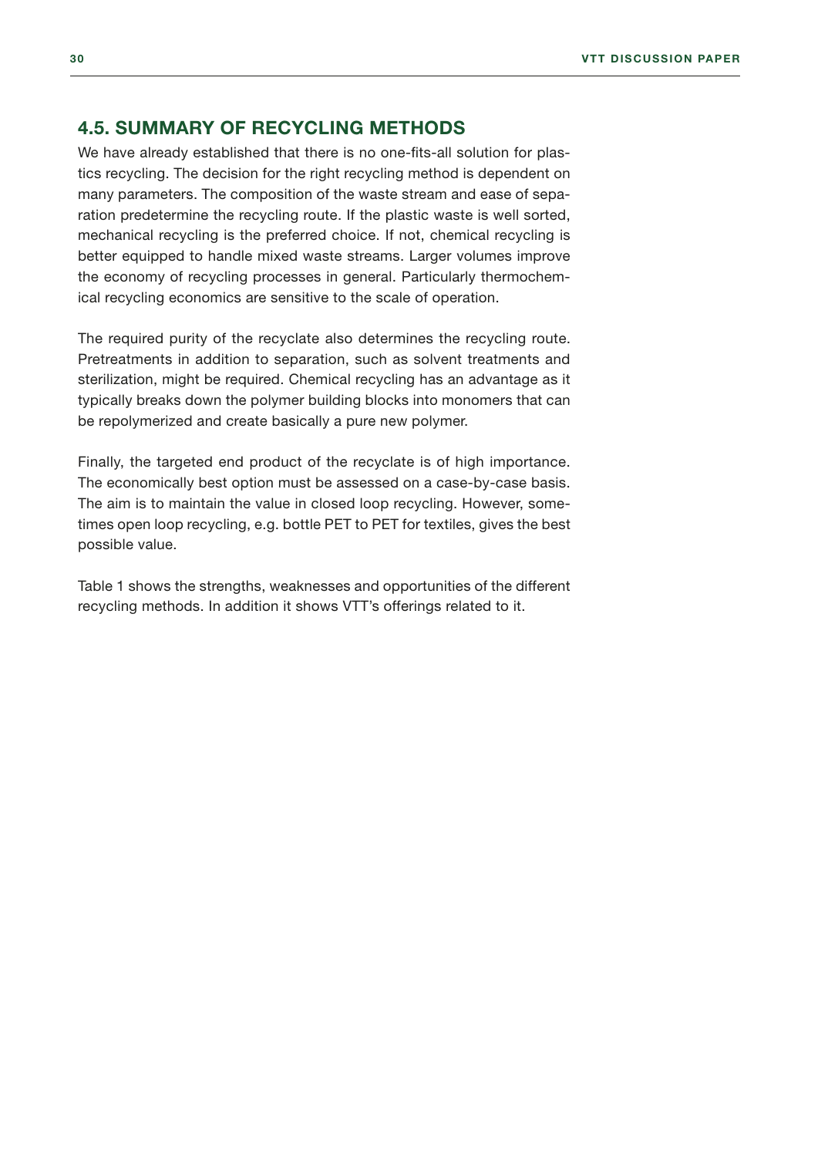#### <span id="page-30-0"></span>4.5. SUMMARY OF RECYCLING METHODS

We have already established that there is no one-fits-all solution for plastics recycling. The decision for the right recycling method is dependent on many parameters. The composition of the waste stream and ease of separation predetermine the recycling route. If the plastic waste is well sorted, mechanical recycling is the preferred choice. If not, chemical recycling is better equipped to handle mixed waste streams. Larger volumes improve the economy of recycling processes in general. Particularly thermochemical recycling economics are sensitive to the scale of operation.

The required purity of the recyclate also determines the recycling route. Pretreatments in addition to separation, such as solvent treatments and sterilization, might be required. Chemical recycling has an advantage as it typically breaks down the polymer building blocks into monomers that can be repolymerized and create basically a pure new polymer.

Finally, the targeted end product of the recyclate is of high importance. The economically best option must be assessed on a case-by-case basis. The aim is to maintain the value in closed loop recycling. However, sometimes open loop recycling, e.g. bottle PET to PET for textiles, gives the best possible value.

Table 1 shows the strengths, weaknesses and opportunities of the different recycling methods. In addition it shows VTT's offerings related to it.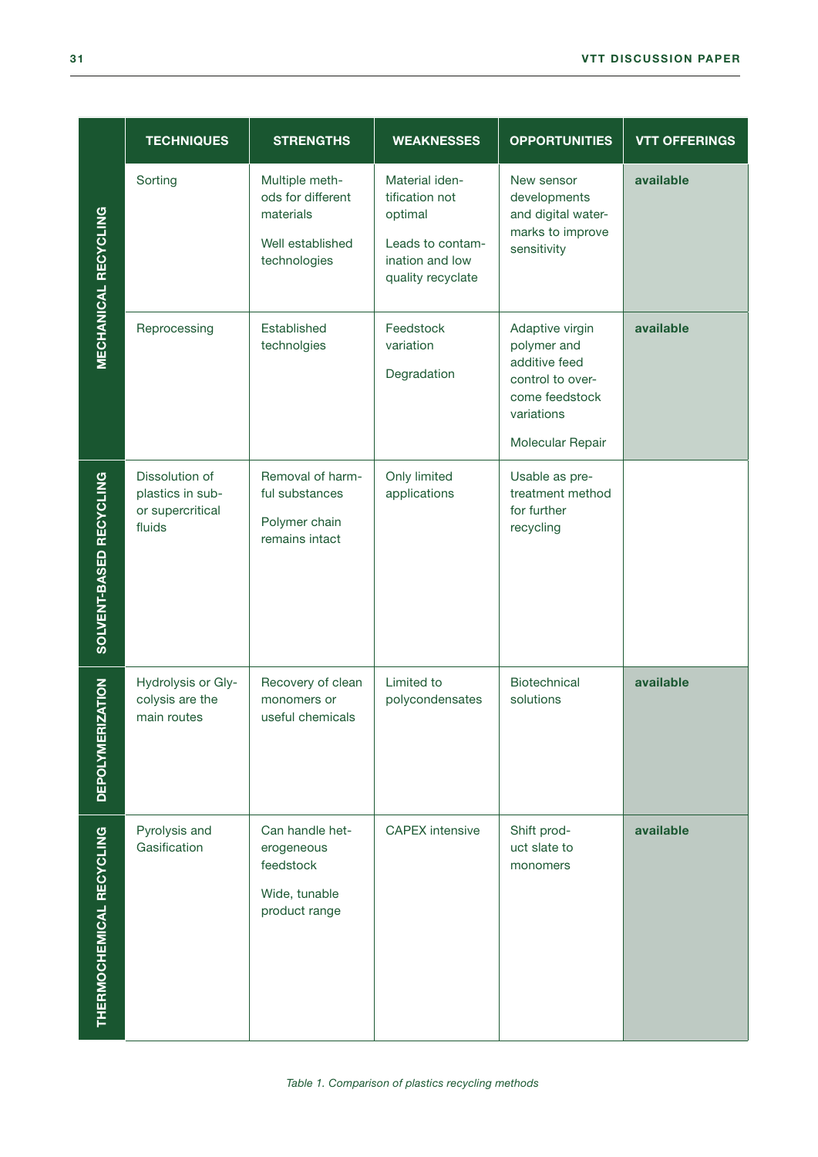|                             | <b>TECHNIQUES</b>                                                | <b>STRENGTHS</b>                                                                     | <b>WEAKNESSES</b>                                                                                       | <b>OPPORTUNITIES</b>                                                                                                    | <b>VTT OFFERINGS</b> |
|-----------------------------|------------------------------------------------------------------|--------------------------------------------------------------------------------------|---------------------------------------------------------------------------------------------------------|-------------------------------------------------------------------------------------------------------------------------|----------------------|
| <b>MECHANICAL RECYCLING</b> | Sorting                                                          | Multiple meth-<br>ods for different<br>materials<br>Well established<br>technologies | Material iden-<br>tification not<br>optimal<br>Leads to contam-<br>ination and low<br>quality recyclate | New sensor<br>developments<br>and digital water-<br>marks to improve<br>sensitivity                                     | available            |
|                             | Reprocessing                                                     | Established<br>technolgies                                                           | Feedstock<br>variation<br>Degradation                                                                   | Adaptive virgin<br>polymer and<br>additive feed<br>control to over-<br>come feedstock<br>variations<br>Molecular Repair | available            |
| SOLVENT-BASED RECYCLING     | Dissolution of<br>plastics in sub-<br>or supercritical<br>fluids | Removal of harm-<br>ful substances<br>Polymer chain<br>remains intact                | Only limited<br>applications                                                                            | Usable as pre-<br>treatment method<br>for further<br>recycling                                                          |                      |
| <b>DEPOLYMERIZATION</b>     | Hydrolysis or Gly-<br>colysis are the<br>main routes             | Recovery of clean<br>monomers or<br>useful chemicals                                 | Limited to<br>polycondensates                                                                           | Biotechnical<br>solutions                                                                                               | available            |
| THERMOCHEMICAL RECYCLING    | Pyrolysis and<br>Gasification                                    | Can handle het-<br>erogeneous<br>feedstock<br>Wide, tunable<br>product range         | <b>CAPEX</b> intensive                                                                                  | Shift prod-<br>uct slate to<br>monomers                                                                                 | available            |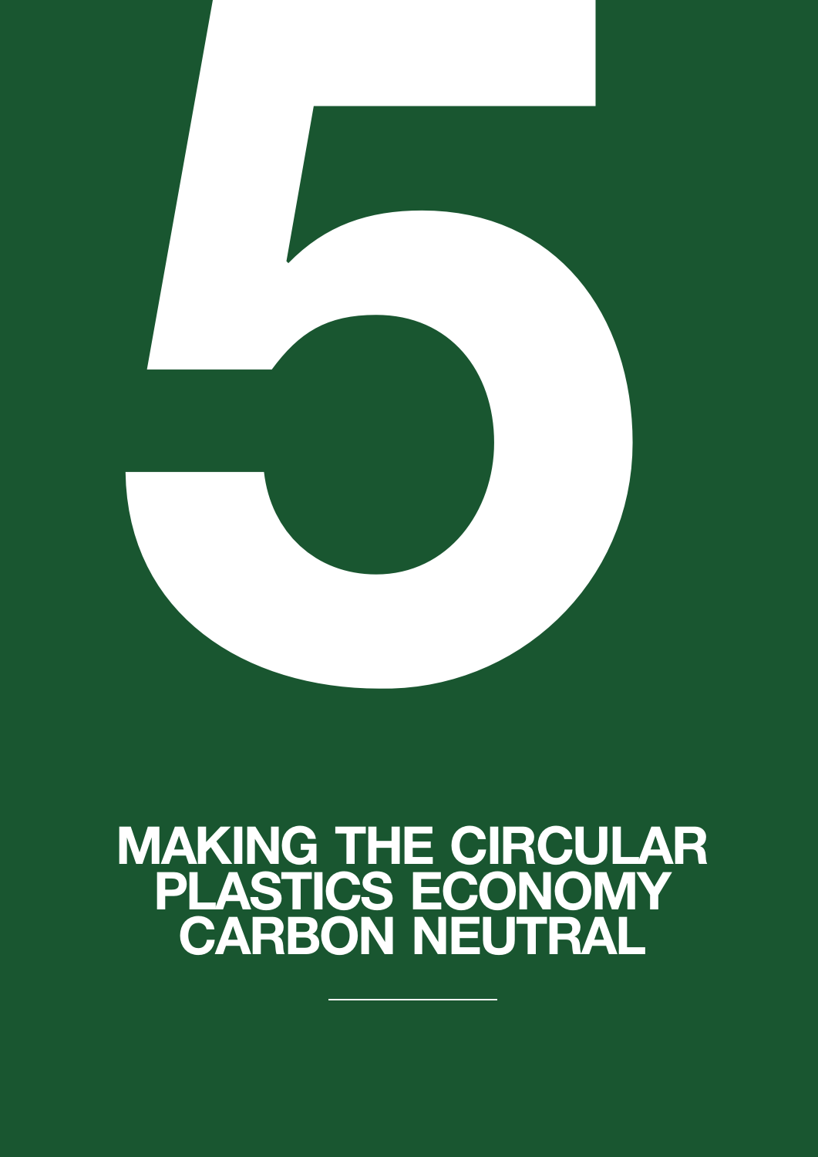<span id="page-32-0"></span>

## MAKING THE CIRCULAR PLASTICS ECONOMY CARBON NEUTRAL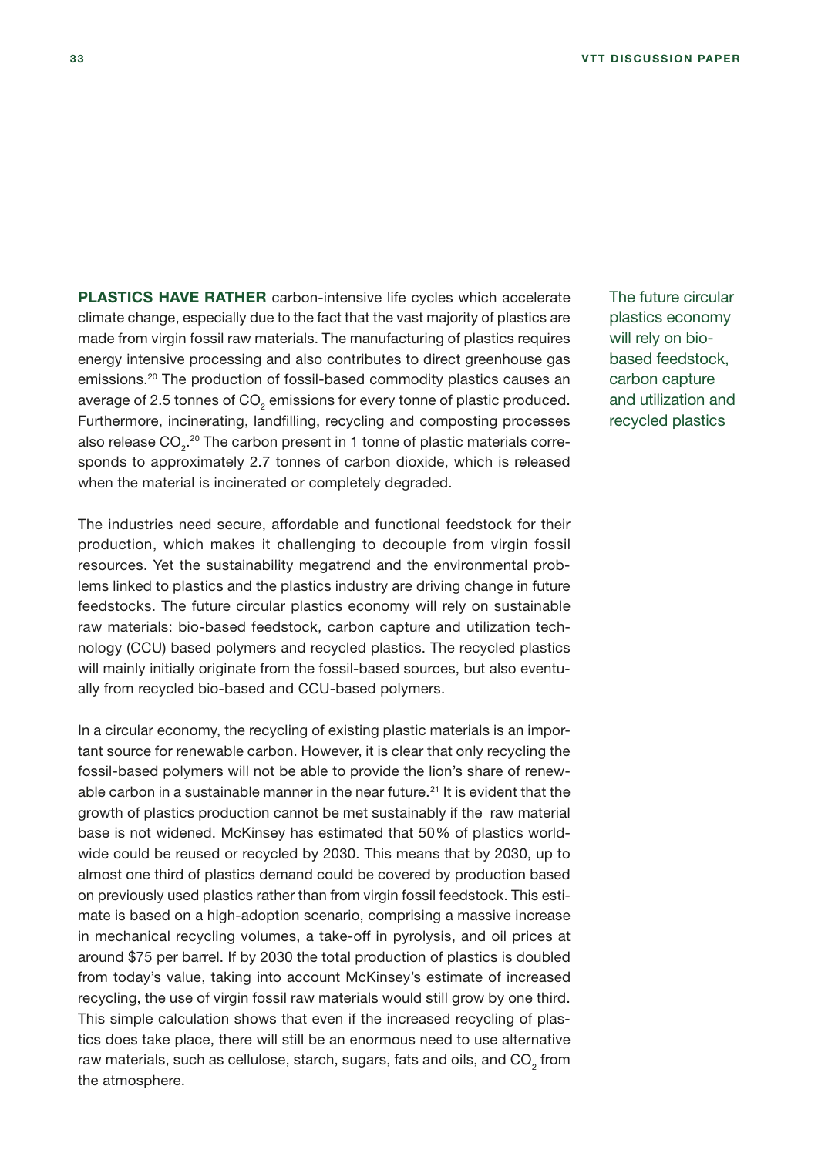PLASTICS HAVE RATHER carbon-intensive life cycles which accelerate climate change, especially due to the fact that the vast majority of plastics are made from virgin fossil raw materials. The manufacturing of plastics requires energy intensive processing and also contributes to direct greenhouse gas emissions.20 The production of fossil-based commodity plastics causes an average of 2.5 tonnes of CO $_{_2}$  emissions for every tonne of plastic produced. Furthermore, incinerating, landfilling, recycling and composting processes also release CO $_2$ . $^{\rm 20}$  The carbon present in 1 tonne of plastic materials corresponds to approximately 2.7 tonnes of carbon dioxide, which is released when the material is incinerated or completely degraded.

The industries need secure, affordable and functional feedstock for their production, which makes it challenging to decouple from virgin fossil resources. Yet the sustainability megatrend and the environmental problems linked to plastics and the plastics industry are driving change in future feedstocks. The future circular plastics economy will rely on sustainable raw materials: bio-based feedstock, carbon capture and utilization technology (CCU) based polymers and recycled plastics. The recycled plastics will mainly initially originate from the fossil-based sources, but also eventually from recycled bio-based and CCU-based polymers.

In a circular economy, the recycling of existing plastic materials is an important source for renewable carbon. However, it is clear that only recycling the fossil-based polymers will not be able to provide the lion's share of renewable carbon in a sustainable manner in the near future.<sup>21</sup> It is evident that the growth of plastics production cannot be met sustainably if the raw material base is not widened. McKinsey has estimated that 50% of plastics worldwide could be reused or recycled by 2030. This means that by 2030, up to almost one third of plastics demand could be covered by production based on previously used plastics rather than from virgin fossil feedstock. This estimate is based on a high-adoption scenario, comprising a massive increase in mechanical recycling volumes, a take-off in pyrolysis, and oil prices at around \$75 per barrel. If by 2030 the total production of plastics is doubled from today's value, taking into account McKinsey's estimate of increased recycling, the use of virgin fossil raw materials would still grow by one third. This simple calculation shows that even if the increased recycling of plastics does take place, there will still be an enormous need to use alternative raw materials, such as cellulose, starch, sugars, fats and oils, and CO $_{\textrm{\tiny{2}}}$  from the atmosphere.

The future circular plastics economy will rely on biobased feedstock, carbon capture and utilization and recycled plastics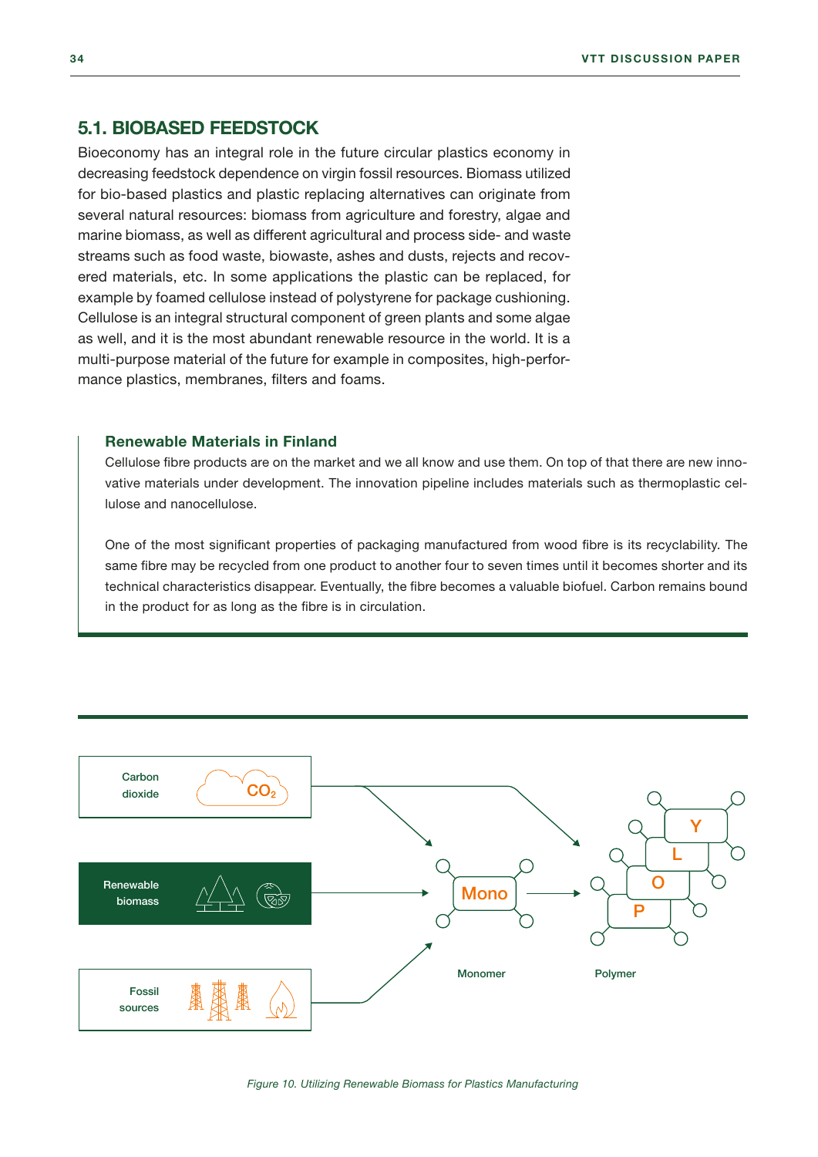#### <span id="page-34-0"></span>5.1. BIOBASED FEEDSTOCK

Bioeconomy has an integral role in the future circular plastics economy in decreasing feedstock dependence on virgin fossil resources. Biomass utilized for bio-based plastics and plastic replacing alternatives can originate from several natural resources: biomass from agriculture and forestry, algae and marine biomass, as well as different agricultural and process side- and waste streams such as food waste, biowaste, ashes and dusts, rejects and recovered materials, etc. In some applications the plastic can be replaced, for example by foamed cellulose instead of polystyrene for package cushioning. Cellulose is an integral structural component of green plants and some algae as well, and it is the most abundant renewable resource in the world. It is a multi-purpose material of the future for example in composites, high-performance plastics, membranes, filters and foams.

#### Renewable Materials in Finland

Cellulose fibre products are on the market and we all know and use them. On top of that there are new innovative materials under development. The innovation pipeline includes materials such as thermoplastic cellulose and nanocellulose.

One of the most significant properties of packaging manufactured from wood fibre is its recyclability. The same fibre may be recycled from one product to another four to seven times until it becomes shorter and its technical characteristics disappear. Eventually, the fibre becomes a valuable biofuel. Carbon remains bound in the product for as long as the fibre is in circulation.

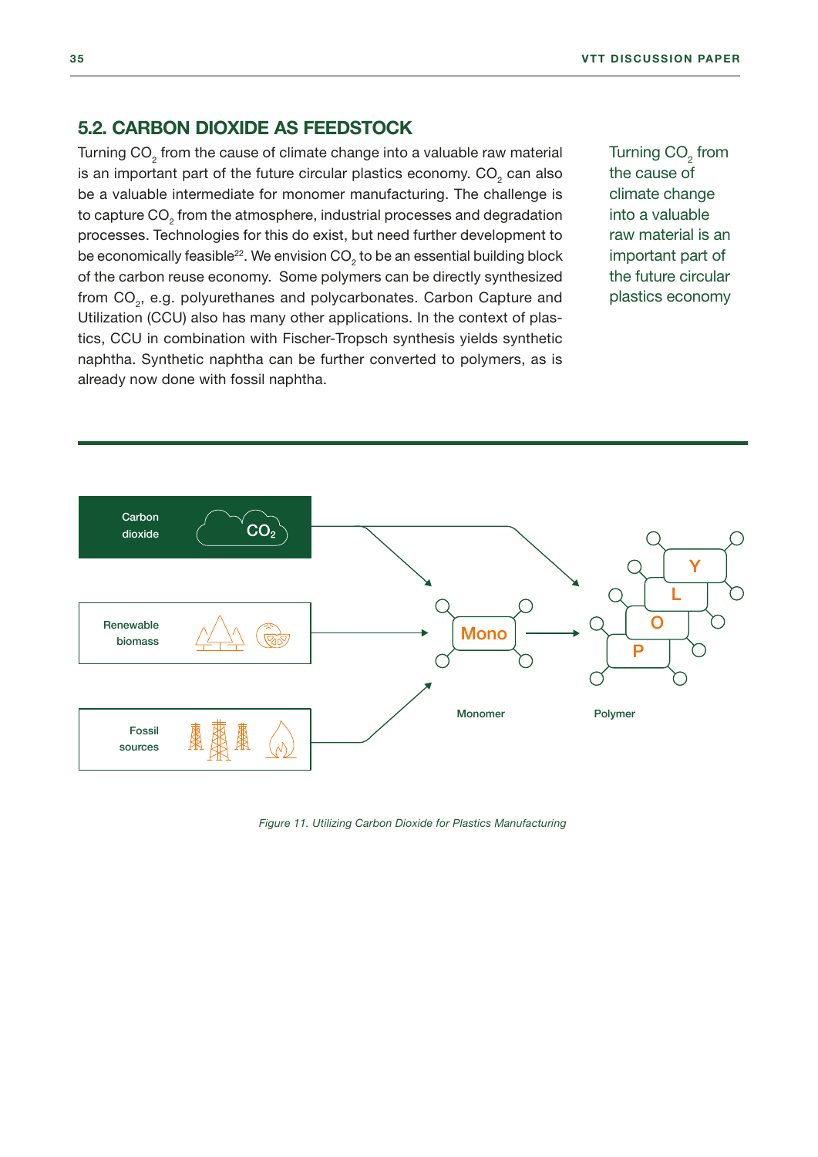#### <span id="page-35-0"></span>5.2. CARBON DIOXIDE AS FEEDSTOCK

Turning CO<sub>2</sub> from the cause of climate change into a valuable raw material is an important part of the future circular plastics economy.  $\mathsf{CO}_2^{}$  can also be a valuable intermediate for monomer manufacturing. The challenge is to capture CO $_{\tiny 2}$  from the atmosphere, industrial processes and degradation processes. Technologies for this do exist, but need further development to be economically feasible $^{22}$ . We envision CO $_{\rm 2}$  to be an essential building block of the carbon reuse economy. Some polymers can be directly synthesized from CO<sub>2</sub>, e.g. polyurethanes and polycarbonates. Carbon Capture and Utilization (CCU) also has many other applications. In the context of plastics, CCU in combination with Fischer-Tropsch synthesis yields synthetic naphtha. Synthetic naphtha can be further converted to polymers, as is already now done with fossil naphtha.

Turning  $CO<sub>2</sub>$  from the cause of climate change into a valuable raw material is an important part of the future circular plastics economy



*Figure 11. Utilizing Carbon Dioxide for Plastics Manufacturing*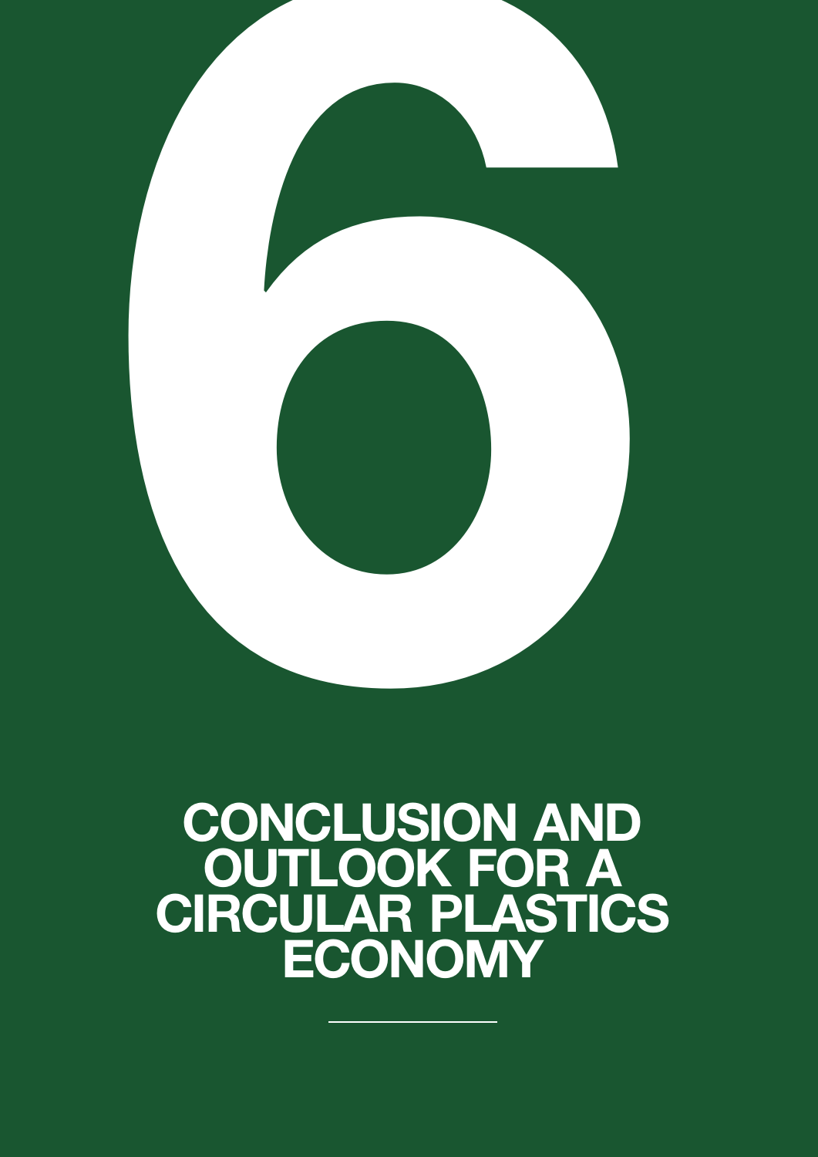<span id="page-36-0"></span>

### CONCLUSION AND OUTLOOK FOR A CIRCULAR PLASTICS ECONOMY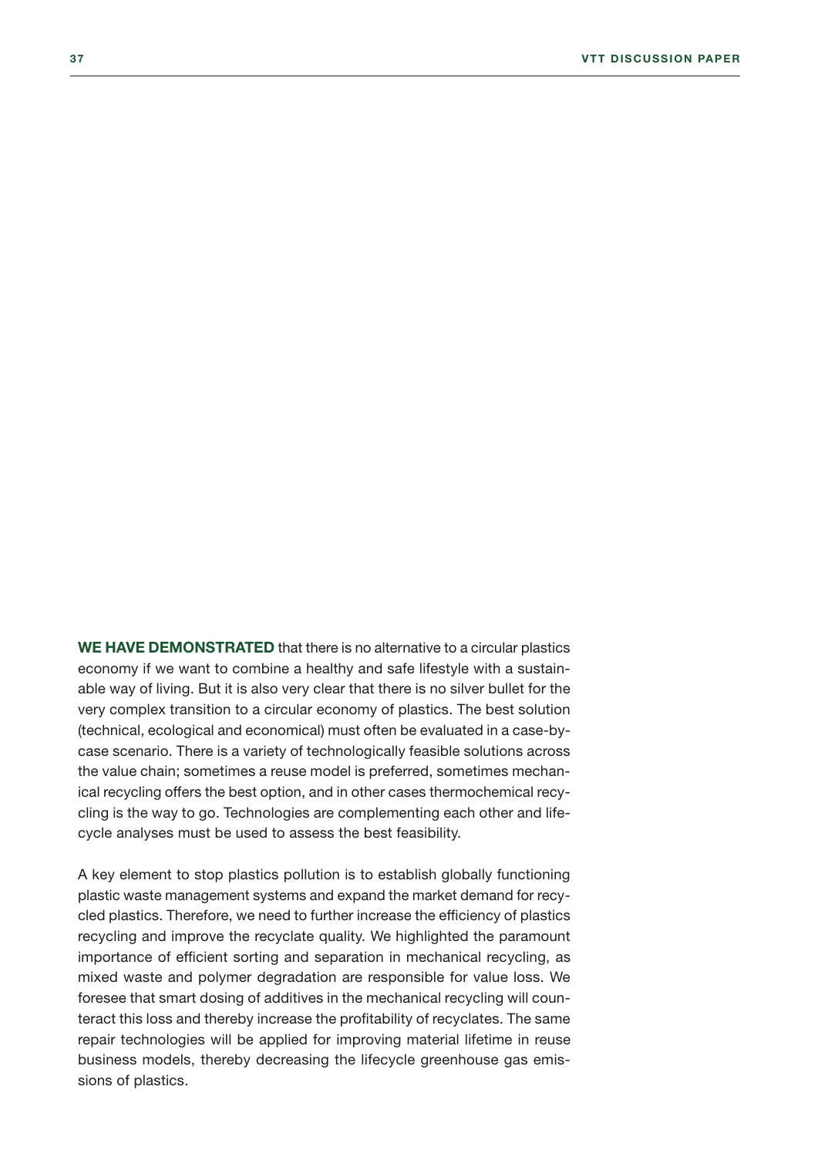WE HAVE DEMONSTRATED that there is no alternative to a circular plastics economy if we want to combine a healthy and safe lifestyle with a sustainable way of living. But it is also very clear that there is no silver bullet for the very complex transition to a circular economy of plastics. The best solution (technical, ecological and economical) must often be evaluated in a case-bycase scenario. There is a variety of technologically feasible solutions across the value chain; sometimes a reuse model is preferred, sometimes mechanical recycling offers the best option, and in other cases thermochemical recycling is the way to go. Technologies are complementing each other and lifecycle analyses must be used to assess the best feasibility.

A key element to stop plastics pollution is to establish globally functioning plastic waste management systems and expand the market demand for recycled plastics. Therefore, we need to further increase the efficiency of plastics recycling and improve the recyclate quality. We highlighted the paramount importance of efficient sorting and separation in mechanical recycling, as mixed waste and polymer degradation are responsible for value loss. We foresee that smart dosing of additives in the mechanical recycling will counteract this loss and thereby increase the profitability of recyclates. The same repair technologies will be applied for improving material lifetime in reuse business models, thereby decreasing the lifecycle greenhouse gas emissions of plastics.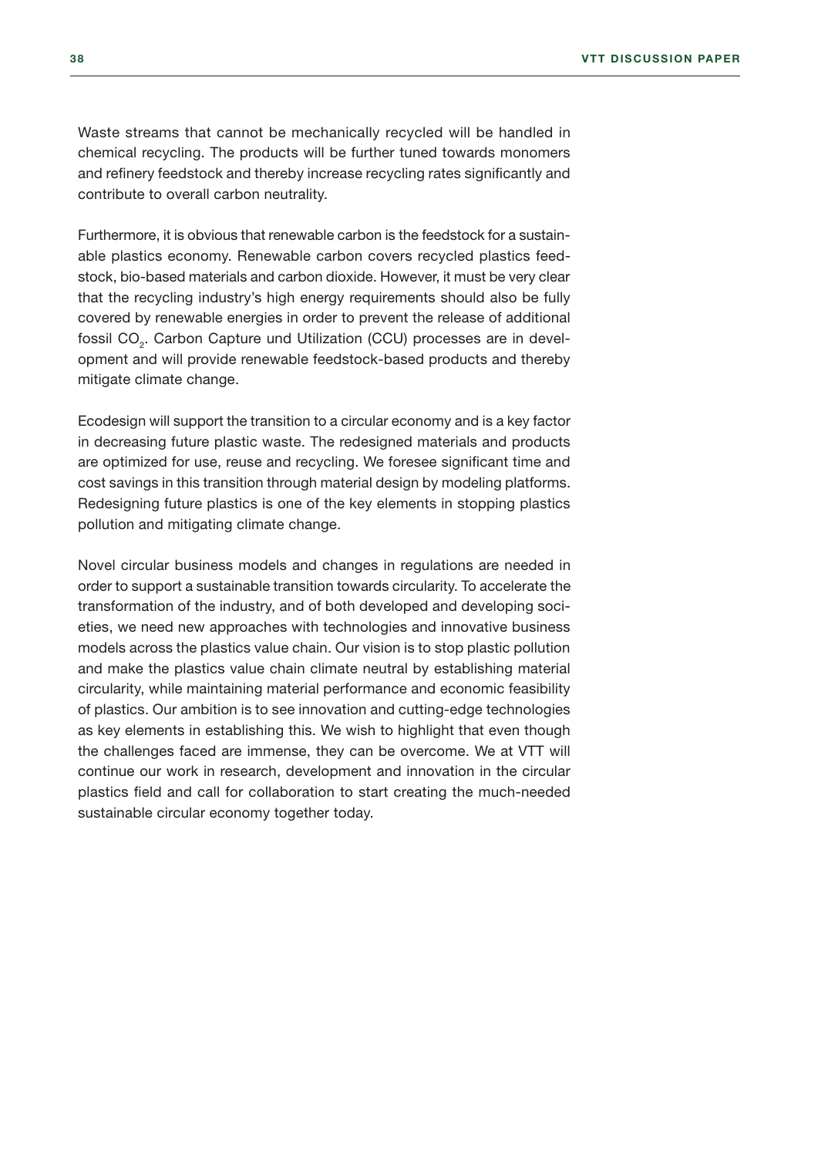Waste streams that cannot be mechanically recycled will be handled in chemical recycling. The products will be further tuned towards monomers and refinery feedstock and thereby increase recycling rates significantly and contribute to overall carbon neutrality.

Furthermore, it is obvious that renewable carbon is the feedstock for a sustainable plastics economy. Renewable carbon covers recycled plastics feedstock, bio-based materials and carbon dioxide. However, it must be very clear that the recycling industry's high energy requirements should also be fully covered by renewable energies in order to prevent the release of additional fossil CO $_{\textrm{\tiny{2}}}$ . Carbon Capture und Utilization (CCU) processes are in development and will provide renewable feedstock-based products and thereby mitigate climate change.

Ecodesign will support the transition to a circular economy and is a key factor in decreasing future plastic waste. The redesigned materials and products are optimized for use, reuse and recycling. We foresee significant time and cost savings in this transition through material design by modeling platforms. Redesigning future plastics is one of the key elements in stopping plastics pollution and mitigating climate change.

Novel circular business models and changes in regulations are needed in order to support a sustainable transition towards circularity. To accelerate the transformation of the industry, and of both developed and developing societies, we need new approaches with technologies and innovative business models across the plastics value chain. Our vision is to stop plastic pollution and make the plastics value chain climate neutral by establishing material circularity, while maintaining material performance and economic feasibility of plastics. Our ambition is to see innovation and cutting-edge technologies as key elements in establishing this. We wish to highlight that even though the challenges faced are immense, they can be overcome. We at VTT will continue our work in research, development and innovation in the circular plastics field and call for collaboration to start creating the much-needed sustainable circular economy together today.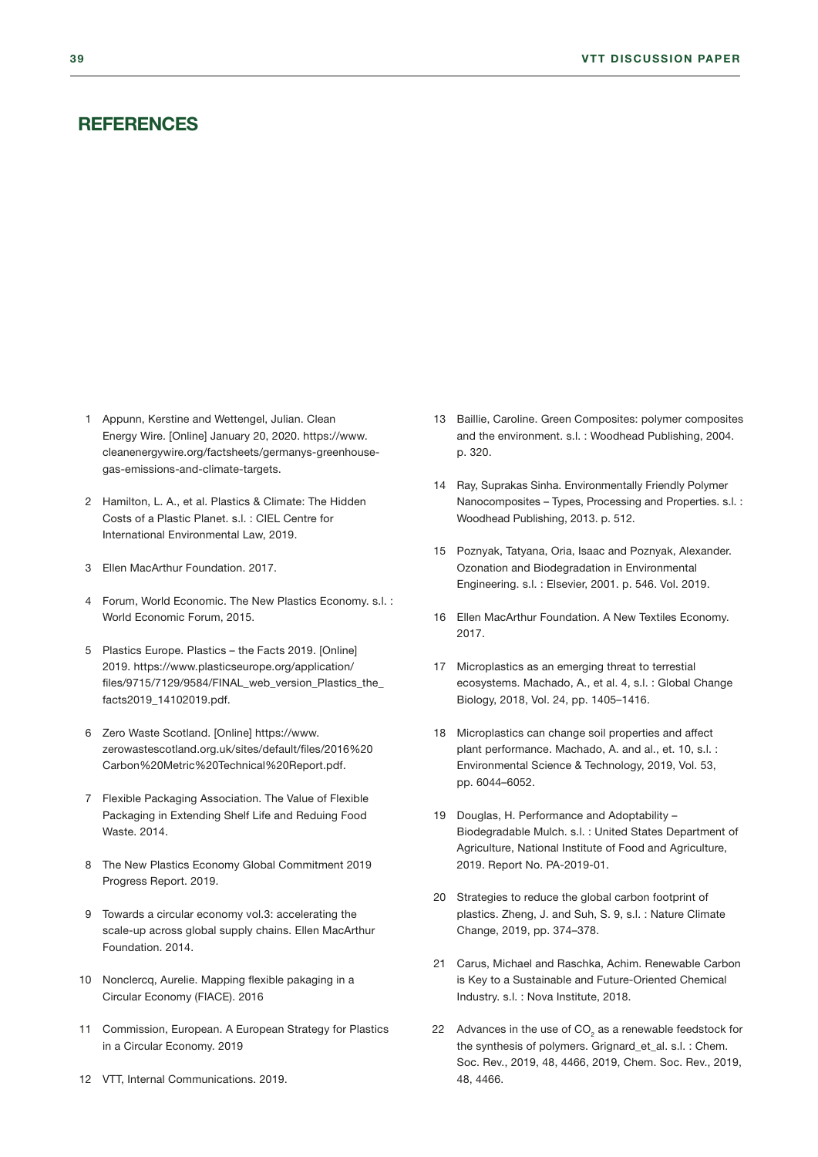#### <span id="page-39-0"></span>**REFERENCES**

- 1 [Appunn, Kerstine and Wettengel, Julian. Clean](https://www.cleanenergywire.org/factsheets/germanys-greenhouse-gas-emissions-and-climate-targets)  [Energy Wire. \[Online\] January 20, 2020. https://www.](https://www.cleanenergywire.org/factsheets/germanys-greenhouse-gas-emissions-and-climate-targets) [cleanenergywire.org/factsheets/germanys-greenhouse](https://www.cleanenergywire.org/factsheets/germanys-greenhouse-gas-emissions-and-climate-targets)[gas-emissions-and-climate-targets.](https://www.cleanenergywire.org/factsheets/germanys-greenhouse-gas-emissions-and-climate-targets)
- 2 Hamilton, L. A., et al. Plastics & Climate: The Hidden Costs of a Plastic Planet. s.l. : CIEL Centre for International Environmental Law, 2019.
- 3 Ellen MacArthur Foundation. 2017.
- 4 Forum, World Economic. The New Plastics Economy. s.l. : World Economic Forum, 2015.
- [5 Plastics Europe. Plastics the Facts 2019. \[Online\]](https://www.plasticseurope.org/application/files/9715/7129/9584/FINAL_web_version_Plastics_the_facts2019_14102019.pdf)  [2019. https://www.plasticseurope.org/application/](https://www.plasticseurope.org/application/files/9715/7129/9584/FINAL_web_version_Plastics_the_facts2019_14102019.pdf) [files/9715/7129/9584/FINAL\\_web\\_version\\_Plastics\\_the\\_](https://www.plasticseurope.org/application/files/9715/7129/9584/FINAL_web_version_Plastics_the_facts2019_14102019.pdf) [facts2019\\_14102019.pdf.](https://www.plasticseurope.org/application/files/9715/7129/9584/FINAL_web_version_Plastics_the_facts2019_14102019.pdf)
- [6 Zero Waste Scotland. \[Online\] https://www.](https://www.zerowastescotland.org.uk/sites/default/files/2016%20Carbon%20Metric%20Technical%20Report.pdf) [zerowastescotland.org.uk/sites/default/files/2016%20](https://www.zerowastescotland.org.uk/sites/default/files/2016%20Carbon%20Metric%20Technical%20Report.pdf) [Carbon%20Metric%20Technical%20Report.pdf.](https://www.zerowastescotland.org.uk/sites/default/files/2016%20Carbon%20Metric%20Technical%20Report.pdf)
- 7 Flexible Packaging Association. The Value of Flexible Packaging in Extending Shelf Life and Reduing Food Waste. 2014.
- 8 The New Plastics Economy Global Commitment 2019 Progress Report. 2019.
- 9 Towards a circular economy vol.3: accelerating the scale-up across global supply chains. Ellen MacArthur Foundation. 2014.
- 10 Nonclercq, Aurelie. Mapping flexible pakaging in a Circular Economy (FIACE). 2016
- 11 Commission, European. A European Strategy for Plastics in a Circular Economy. 2019
- 12 VTT, Internal Communications. 2019.
- 13 Baillie, Caroline. Green Composites: polymer composites and the environment. s.l. : Woodhead Publishing, 2004. p. 320.
- 14 Ray, Suprakas Sinha. Environmentally Friendly Polymer Nanocomposites – Types, Processing and Properties. s.l. : Woodhead Publishing, 2013. p. 512.
- 15 Poznyak, Tatyana, Oria, Isaac and Poznyak, Alexander. Ozonation and Biodegradation in Environmental Engineering. s.l. : Elsevier, 2001. p. 546. Vol. 2019.
- 16 Ellen MacArthur Foundation. A New Textiles Economy. 2017.
- 17 Microplastics as an emerging threat to terrestial ecosystems. Machado, A., et al. 4, s.l. : Global Change Biology, 2018, Vol. 24, pp. 1405–1416.
- 18 Microplastics can change soil properties and affect plant performance. Machado, A. and al., et. 10, s.l. : Environmental Science & Technology, 2019, Vol. 53, pp. 6044–6052.
- 19 Douglas, H. Performance and Adoptability Biodegradable Mulch. s.l. : United States Department of Agriculture, National Institute of Food and Agriculture, 2019. Report No. PA-2019-01.
- 20 Strategies to reduce the global carbon footprint of plastics. Zheng, J. and Suh, S. 9, s.l. : Nature Climate Change, 2019, pp. 374–378.
- 21 Carus, Michael and Raschka, Achim. Renewable Carbon is Key to a Sustainable and Future-Oriented Chemical Industry. s.l. : Nova Institute, 2018.
- 22 Advances in the use of  $CO<sub>2</sub>$  as a renewable feedstock for the synthesis of polymers. Grignard et al. s.l. : Chem. Soc. Rev., 2019, 48, 4466, 2019, Chem. Soc. Rev., 2019, 48, 4466.